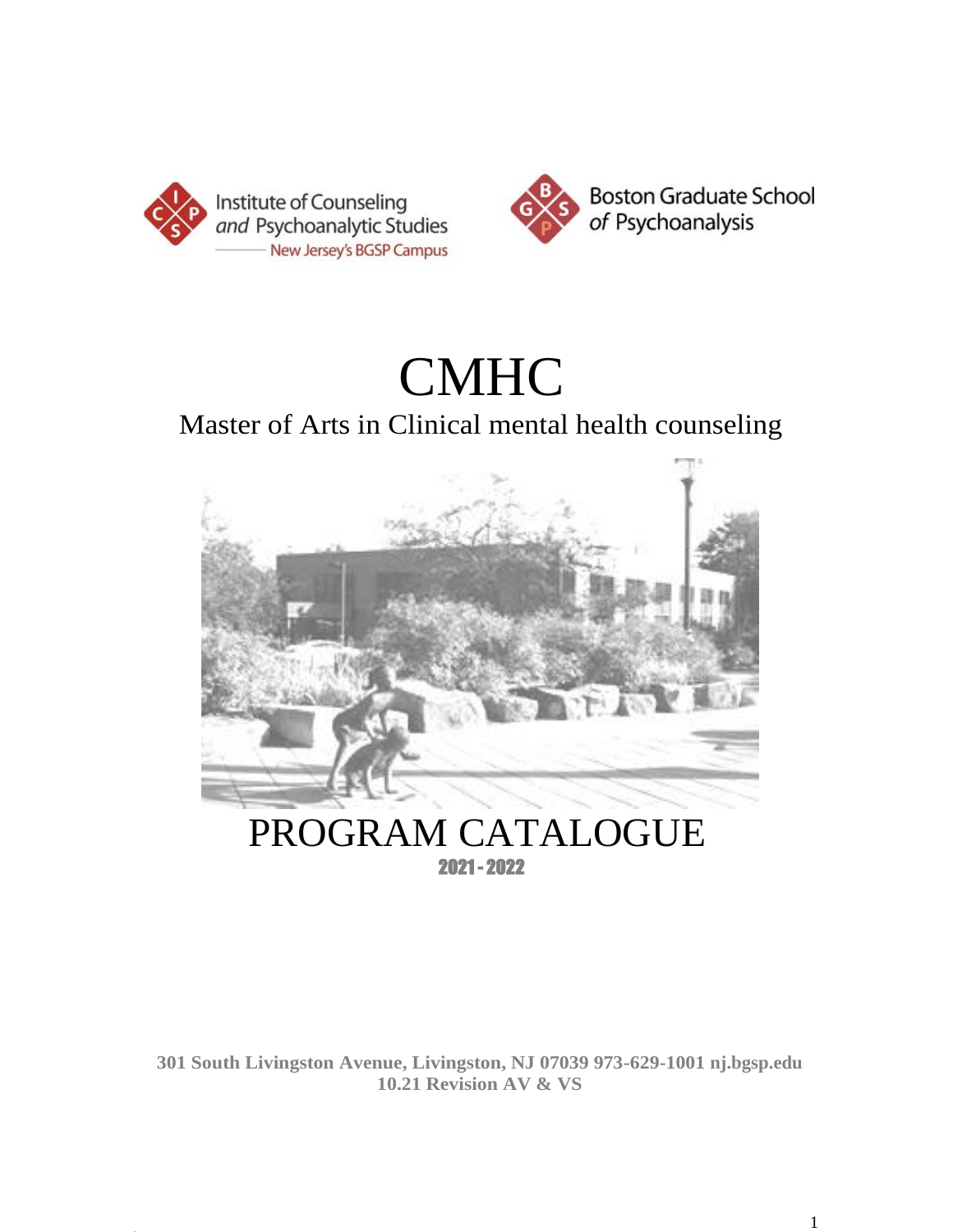



# CMHC

# Master of Arts in Clinical mental health counseling



# PROGRAM CATALOGUE 2021 - 2022

**301 South Livingston Avenue, Livingston, NJ 07039 973-629-1001 nj.bgsp.edu 10.21 Revision AV & VS**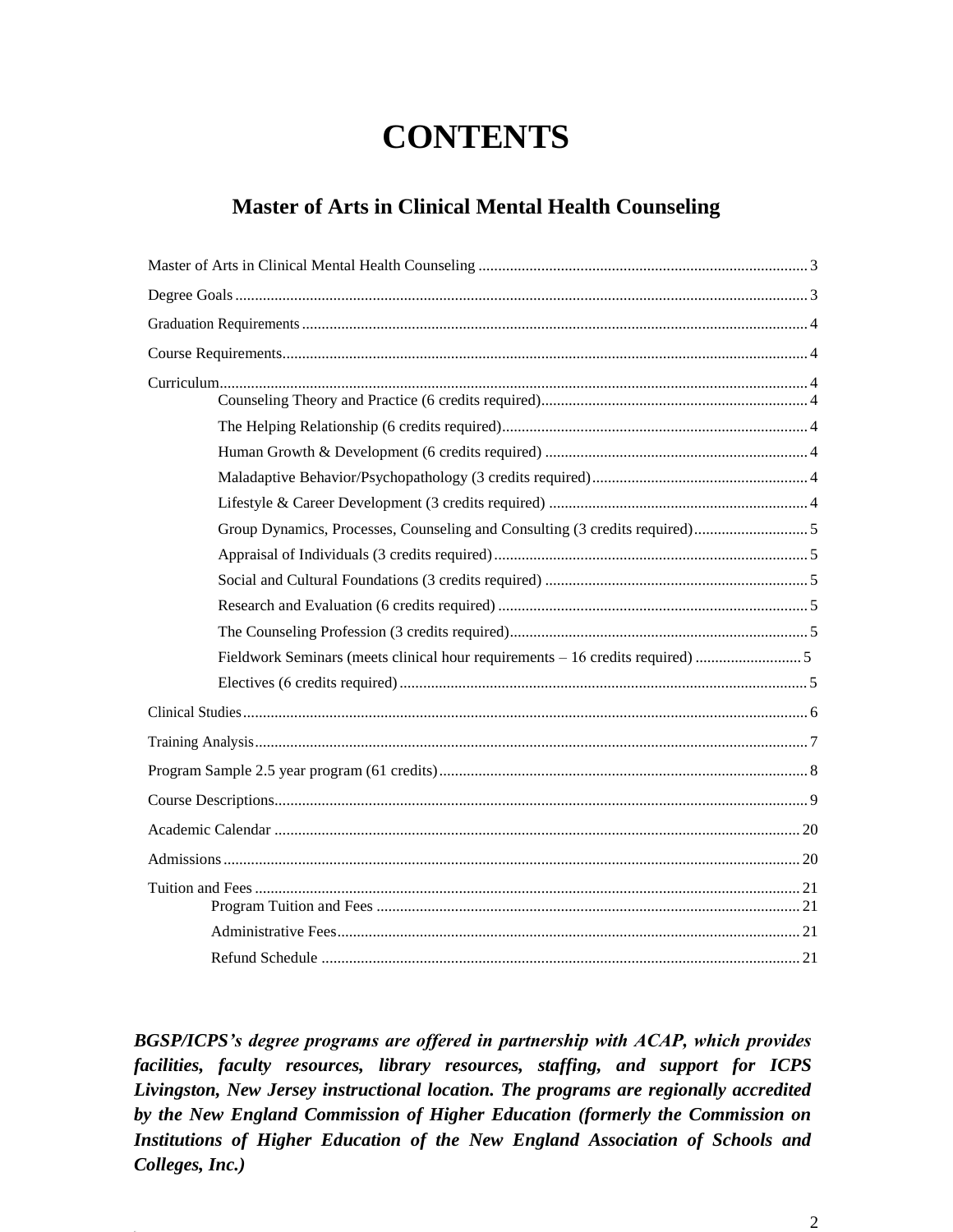# **CONTENTS**

### **Master of Arts in Clinical Mental Health Counseling**

|  | Fieldwork Seminars (meets clinical hour requirements – 16 credits required) 5 |  |
|--|-------------------------------------------------------------------------------|--|
|  |                                                                               |  |
|  |                                                                               |  |
|  |                                                                               |  |
|  |                                                                               |  |
|  |                                                                               |  |
|  |                                                                               |  |
|  |                                                                               |  |
|  |                                                                               |  |
|  |                                                                               |  |
|  |                                                                               |  |

*BGSP/ICPS's degree programs are offered in partnership with ACAP, which provides facilities, faculty resources, library resources, staffing, and support for ICPS Livingston, New Jersey instructional location. The programs are regionally accredited by the New England Commission of Higher Education (formerly the Commission on Institutions of Higher Education of the New England Association of Schools and Colleges, Inc.)*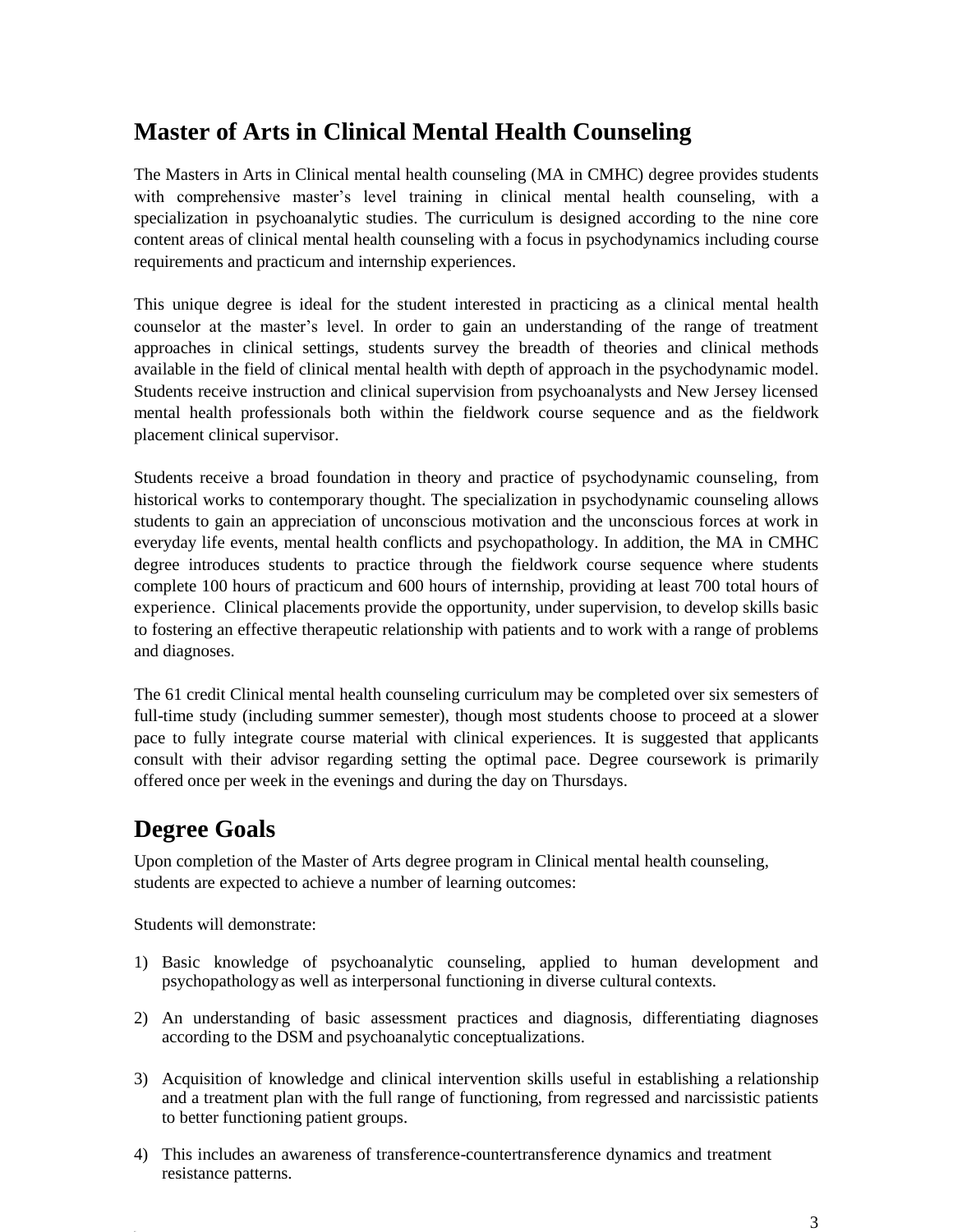# <span id="page-2-0"></span>**Master of Arts in Clinical Mental Health Counseling**

The Masters in Arts in Clinical mental health counseling (MA in CMHC) degree provides students with comprehensive master's level training in clinical mental health counseling, with a specialization in psychoanalytic studies. The curriculum is designed according to the nine core content areas of clinical mental health counseling with a focus in psychodynamics including course requirements and practicum and internship experiences.

This unique degree is ideal for the student interested in practicing as a clinical mental health counselor at the master's level. In order to gain an understanding of the range of treatment approaches in clinical settings, students survey the breadth of theories and clinical methods available in the field of clinical mental health with depth of approach in the psychodynamic model. Students receive instruction and clinical supervision from psychoanalysts and New Jersey licensed mental health professionals both within the fieldwork course sequence and as the fieldwork placement clinical supervisor.

Students receive a broad foundation in theory and practice of psychodynamic counseling, from historical works to contemporary thought. The specialization in psychodynamic counseling allows students to gain an appreciation of unconscious motivation and the unconscious forces at work in everyday life events, mental health conflicts and psychopathology. In addition, the MA in CMHC degree introduces students to practice through the fieldwork course sequence where students complete 100 hours of practicum and 600 hours of internship, providing at least 700 total hours of experience. Clinical placements provide the opportunity, under supervision, to develop skills basic to fostering an effective therapeutic relationship with patients and to work with a range of problems and diagnoses.

The 61 credit Clinical mental health counseling curriculum may be completed over six semesters of full-time study (including summer semester), though most students choose to proceed at a slower pace to fully integrate course material with clinical experiences. It is suggested that applicants consult with their advisor regarding setting the optimal pace. Degree coursework is primarily offered once per week in the evenings and during the day on Thursdays.

# <span id="page-2-1"></span>**Degree Goals**

Upon completion of the Master of Arts degree program in Clinical mental health counseling, students are expected to achieve a number of learning outcomes:

Students will demonstrate:

- 1) Basic knowledge of psychoanalytic counseling, applied to human development and psychopathology as well as interpersonal functioning in diverse cultural contexts.
- 2) An understanding of basic assessment practices and diagnosis, differentiating diagnoses according to the DSM and psychoanalytic conceptualizations.
- 3) Acquisition of knowledge and clinical intervention skills useful in establishing a relationship and a treatment plan with the full range of functioning, from regressed and narcissistic patients to better functioning patient groups.
- 4) This includes an awareness of transference-countertransference dynamics and treatment resistance patterns.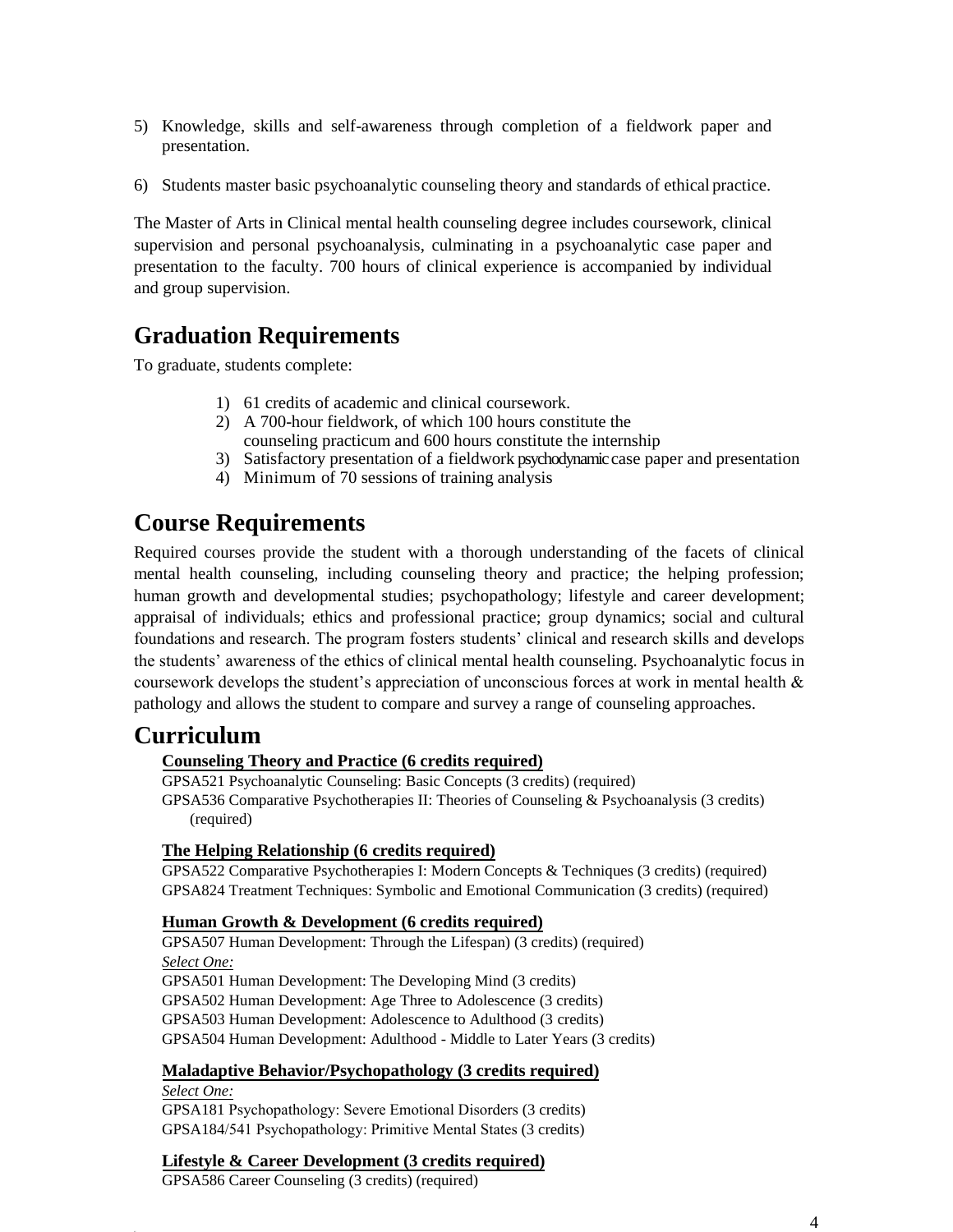- 5) Knowledge, skills and self-awareness through completion of a fieldwork paper and presentation.
- 6) Students master basic psychoanalytic counseling theory and standards of ethical practice.

The Master of Arts in Clinical mental health counseling degree includes coursework, clinical supervision and personal psychoanalysis, culminating in a psychoanalytic case paper and presentation to the faculty. 700 hours of clinical experience is accompanied by individual and group supervision.

# <span id="page-3-0"></span>**Graduation Requirements**

To graduate, students complete:

- 1) 61 credits of academic and clinical coursework.
- 2) A 700-hour fieldwork, of which 100 hours constitute the counseling practicum and 600 hours constitute the internship
- 3) Satisfactory presentation of a fieldwork psychodynamic case paper and presentation
- 4) Minimum of 70 sessions of training analysis

## <span id="page-3-1"></span>**Course Requirements**

Required courses provide the student with a thorough understanding of the facets of clinical mental health counseling, including counseling theory and practice; the helping profession; human growth and developmental studies; psychopathology; lifestyle and career development; appraisal of individuals; ethics and professional practice; group dynamics; social and cultural foundations and research. The program fosters students' clinical and research skills and develops the students' awareness of the ethics of clinical mental health counseling. Psychoanalytic focus in coursework develops the student's appreciation of unconscious forces at work in mental health & pathology and allows the student to compare and survey a range of counseling approaches.

### <span id="page-3-3"></span><span id="page-3-2"></span>**Curriculum**

#### **Counseling Theory and Practice (6 credits required)**

GPSA521 Psychoanalytic Counseling: Basic Concepts (3 credits) (required) GPSA536 Comparative Psychotherapies II: Theories of Counseling & Psychoanalysis (3 credits) (required)

#### <span id="page-3-4"></span>**The Helping Relationship (6 credits required)**

GPSA522 Comparative Psychotherapies I: Modern Concepts & Techniques (3 credits) (required) GPSA824 Treatment Techniques: Symbolic and Emotional Communication (3 credits) (required)

#### <span id="page-3-5"></span>**Human Growth & Development (6 credits required)**

GPSA507 Human Development: Through the Lifespan) (3 credits) (required) *Select One:* GPSA501 Human Development: The Developing Mind (3 credits) GPSA502 Human Development: Age Three to Adolescence (3 credits) GPSA503 Human Development: Adolescence to Adulthood (3 credits) GPSA504 Human Development: Adulthood - Middle to Later Years (3 credits)

#### <span id="page-3-6"></span>**Maladaptive Behavior/Psychopathology (3 credits required)**

*Select One:* GPSA181 Psychopathology: Severe Emotional Disorders (3 credits) GPSA184/541 Psychopathology: Primitive Mental States (3 credits)

#### <span id="page-3-7"></span>**Lifestyle & Career Development (3 credits required)**

GPSA586 Career Counseling (3 credits) (required)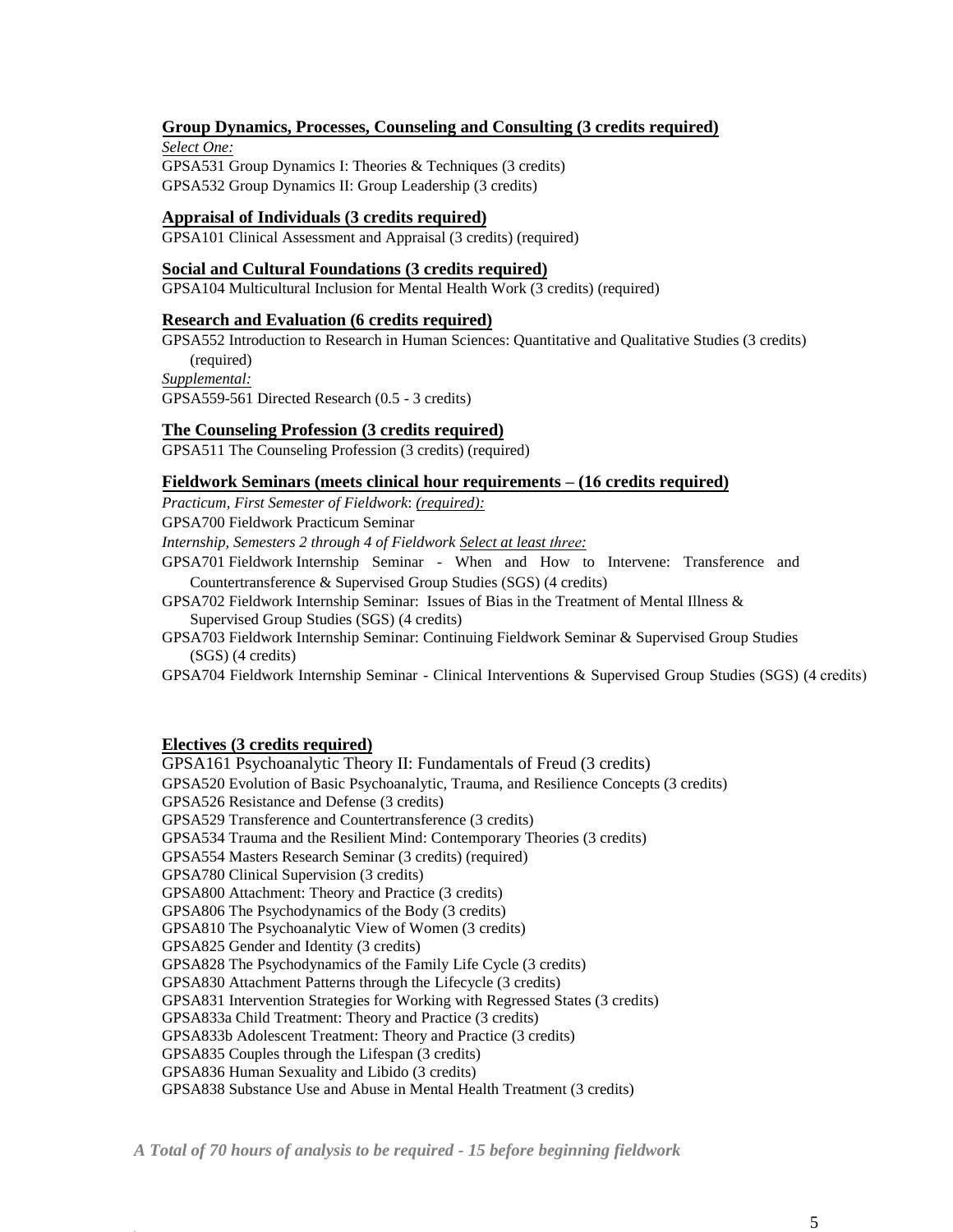#### <span id="page-4-0"></span>**Group Dynamics, Processes, Counseling and Consulting (3 credits required)**

*Select One:* GPSA531 Group Dynamics I: Theories & Techniques (3 credits) GPSA532 Group Dynamics II: Group Leadership (3 credits)

#### <span id="page-4-1"></span>**Appraisal of Individuals (3 credits required)**

GPSA101 Clinical Assessment and Appraisal (3 credits) (required)

#### <span id="page-4-2"></span>**Social and Cultural Foundations (3 credits required)**

<span id="page-4-3"></span>GPSA104 Multicultural Inclusion for Mental Health Work (3 credits) (required)

#### **Research and Evaluation (6 credits required)**

GPSA552 Introduction to Research in Human Sciences: Quantitative and Qualitative Studies (3 credits) (required) *Supplemental:* GPSA559-561 Directed Research (0.5 - 3 credits)

**The Counseling Profession (3 credits required)**

<span id="page-4-4"></span>GPSA511 The Counseling Profession (3 credits) (required)

#### <span id="page-4-5"></span>**Fieldwork Seminars (meets clinical hour requirements – (16 credits required)**

*Practicum, First Semester of Fieldwork*: *(required):*

GPSA700 Fieldwork Practicum Seminar

*Internship, Semesters 2 through 4 of Fieldwork Select at least three:*

GPSA701 Fieldwork Internship Seminar - When and How to Intervene: Transference and Countertransference & Supervised Group Studies (SGS) (4 credits)

- GPSA702 Fieldwork Internship Seminar: Issues of Bias in the Treatment of Mental Illness & Supervised Group Studies (SGS) (4 credits)
- GPSA703 Fieldwork Internship Seminar: Continuing Fieldwork Seminar & Supervised Group Studies (SGS) (4 credits)

GPSA704 Fieldwork Internship Seminar - Clinical Interventions & Supervised Group Studies (SGS) (4 credits)

#### <span id="page-4-6"></span>**Electives (3 credits required)**

GPSA161 Psychoanalytic Theory II: Fundamentals of Freud (3 credits) GPSA520 Evolution of Basic Psychoanalytic, Trauma, and Resilience Concepts (3 credits) GPSA526 Resistance and Defense (3 credits) GPSA529 Transference and Countertransference (3 credits) GPSA534 Trauma and the Resilient Mind: Contemporary Theories (3 credits) GPSA554 Masters Research Seminar (3 credits) (required) GPSA780 Clinical Supervision (3 credits) GPSA800 Attachment: Theory and Practice (3 credits) GPSA806 The Psychodynamics of the Body (3 credits) GPSA810 The Psychoanalytic View of Women (3 credits) GPSA825 Gender and Identity (3 credits) GPSA828 The Psychodynamics of the Family Life Cycle (3 credits) GPSA830 Attachment Patterns through the Lifecycle (3 credits) GPSA831 Intervention Strategies for Working with Regressed States (3 credits) GPSA833a Child Treatment: Theory and Practice (3 credits) GPSA833b Adolescent Treatment: Theory and Practice (3 credits) GPSA835 Couples through the Lifespan (3 credits) GPSA836 Human Sexuality and Libido (3 credits) GPSA838 Substance Use and Abuse in Mental Health Treatment (3 credits)

*A Total of 70 hours of analysis to be required - 15 before beginning fieldwork*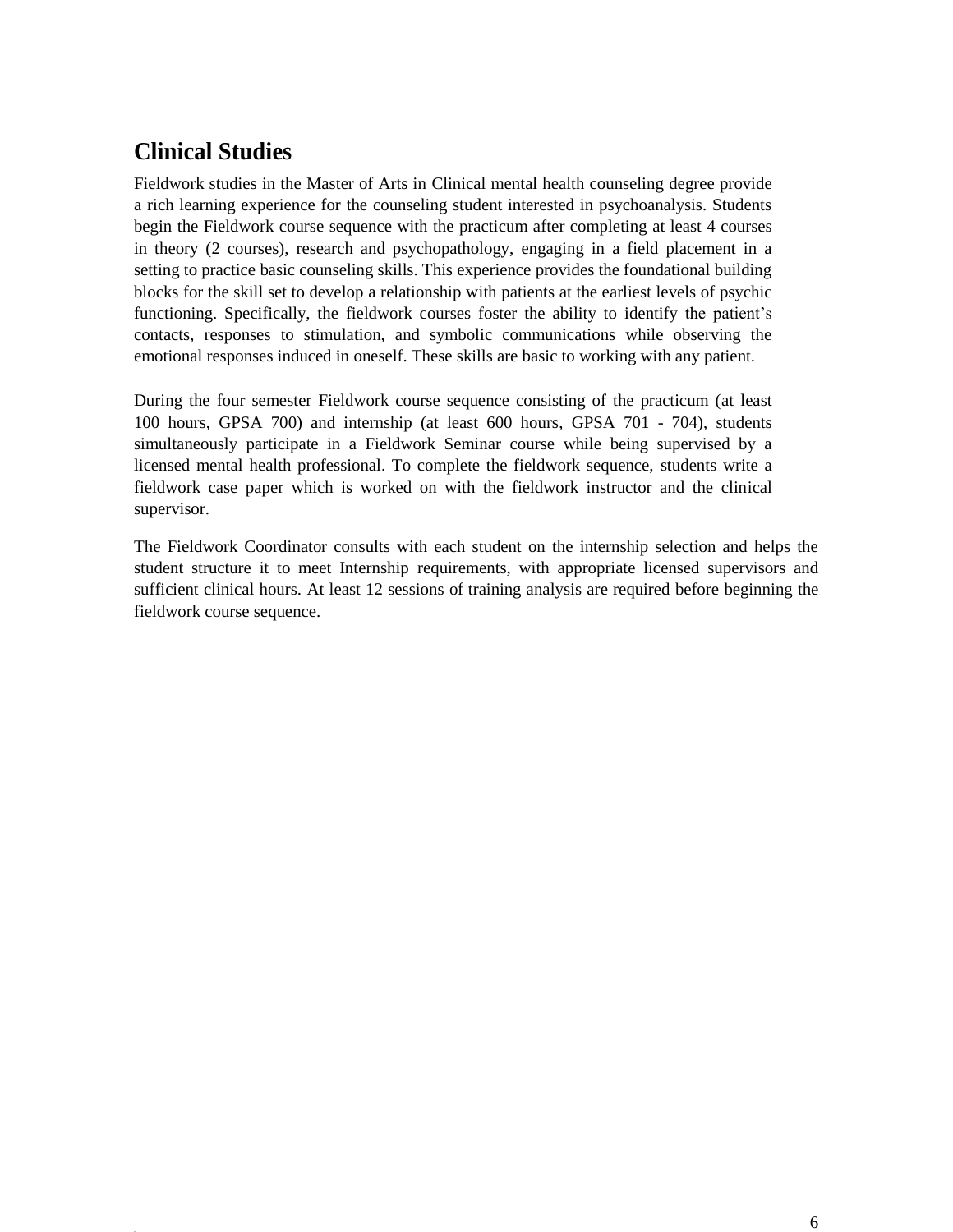# <span id="page-5-0"></span>**Clinical Studies**

Fieldwork studies in the Master of Arts in Clinical mental health counseling degree provide a rich learning experience for the counseling student interested in psychoanalysis. Students begin the Fieldwork course sequence with the practicum after completing at least 4 courses in theory (2 courses), research and psychopathology, engaging in a field placement in a setting to practice basic counseling skills. This experience provides the foundational building blocks for the skill set to develop a relationship with patients at the earliest levels of psychic functioning. Specifically, the fieldwork courses foster the ability to identify the patient's contacts, responses to stimulation, and symbolic communications while observing the emotional responses induced in oneself. These skills are basic to working with any patient.

During the four semester Fieldwork course sequence consisting of the practicum (at least 100 hours, GPSA 700) and internship (at least 600 hours, GPSA 701 - 704), students simultaneously participate in a Fieldwork Seminar course while being supervised by a licensed mental health professional. To complete the fieldwork sequence, students write a fieldwork case paper which is worked on with the fieldwork instructor and the clinical supervisor.

The Fieldwork Coordinator consults with each student on the internship selection and helps the student structure it to meet Internship requirements, with appropriate licensed supervisors and sufficient clinical hours. At least 12 sessions of training analysis are required before beginning the fieldwork course sequence.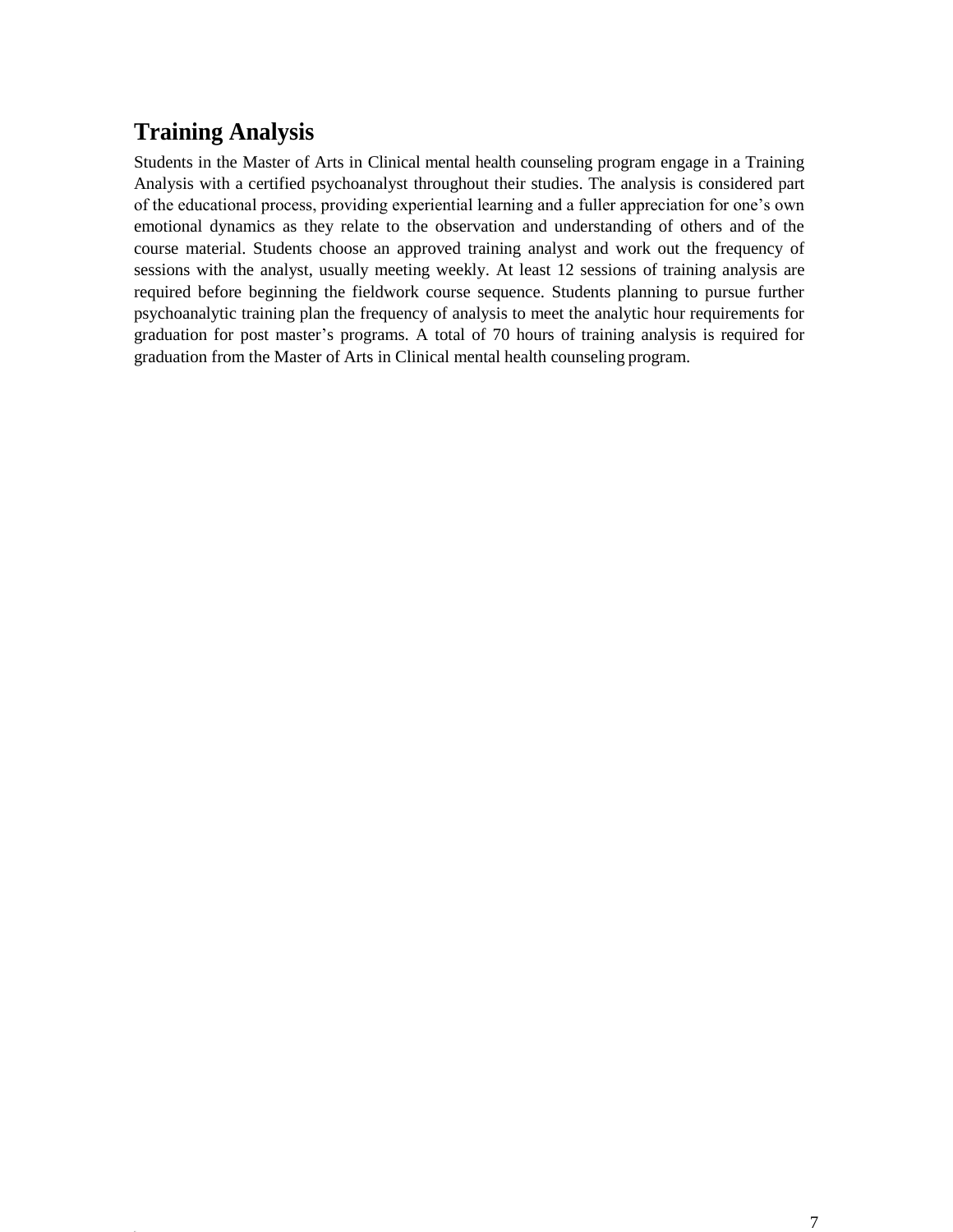# <span id="page-6-0"></span>**Training Analysis**

Students in the Master of Arts in Clinical mental health counseling program engage in a Training Analysis with a certified psychoanalyst throughout their studies. The analysis is considered part of the educational process, providing experiential learning and a fuller appreciation for one's own emotional dynamics as they relate to the observation and understanding of others and of the course material. Students choose an approved training analyst and work out the frequency of sessions with the analyst, usually meeting weekly. At least 12 sessions of training analysis are required before beginning the fieldwork course sequence. Students planning to pursue further psychoanalytic training plan the frequency of analysis to meet the analytic hour requirements for graduation for post master's programs. A total of 70 hours of training analysis is required for graduation from the Master of Arts in Clinical mental health counseling program.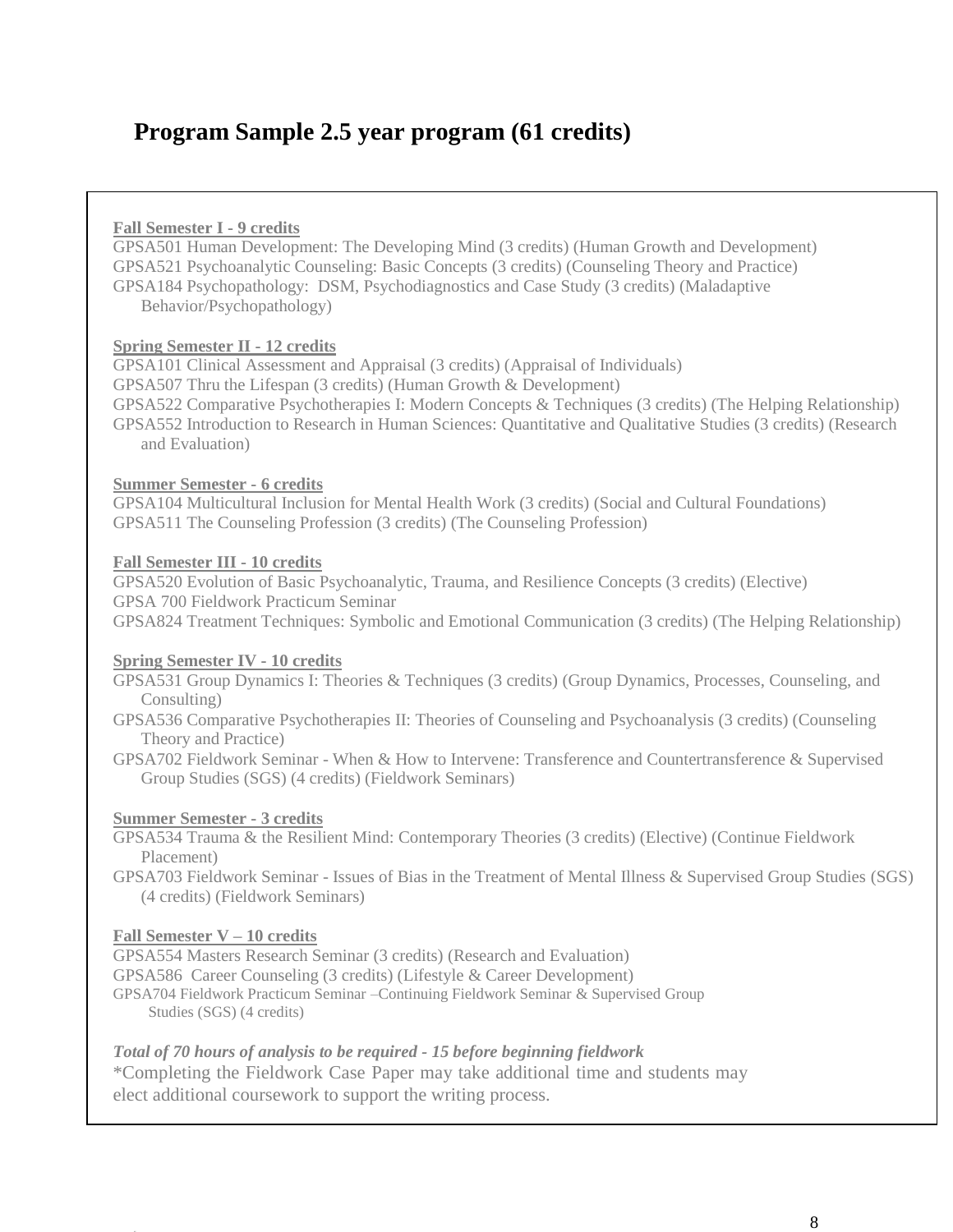# <span id="page-7-0"></span>**Program Sample 2.5 year program (61 credits)**

#### **Fall Semester I - 9 credits**

GPSA501 Human Development: The Developing Mind (3 credits) (Human Growth and Development) GPSA521 Psychoanalytic Counseling: Basic Concepts (3 credits) (Counseling Theory and Practice) GPSA184 Psychopathology: DSM, Psychodiagnostics and Case Study (3 credits) (Maladaptive Behavior/Psychopathology)

#### **Spring Semester II - 12 credits**

GPSA101 Clinical Assessment and Appraisal (3 credits) (Appraisal of Individuals) GPSA507 Thru the Lifespan (3 credits) (Human Growth & Development) GPSA522 Comparative Psychotherapies I: Modern Concepts & Techniques (3 credits) (The Helping Relationship) GPSA552 Introduction to Research in Human Sciences: Quantitative and Qualitative Studies (3 credits) (Research and Evaluation)

#### **Summer Semester - 6 credits**

GPSA104 Multicultural Inclusion for Mental Health Work (3 credits) (Social and Cultural Foundations) GPSA511 The Counseling Profession (3 credits) (The Counseling Profession)

#### **Fall Semester III - 10 credits**

GPSA520 Evolution of Basic Psychoanalytic, Trauma, and Resilience Concepts (3 credits) (Elective) GPSA 700 Fieldwork Practicum Seminar GPSA824 Treatment Techniques: Symbolic and Emotional Communication (3 credits) (The Helping Relationship)

#### **Spring Semester IV - 10 credits**

GPSA531 Group Dynamics I: Theories & Techniques (3 credits) (Group Dynamics, Processes, Counseling, and Consulting)

GPSA536 Comparative Psychotherapies II: Theories of Counseling and Psychoanalysis (3 credits) (Counseling Theory and Practice)

GPSA702 Fieldwork Seminar - When & How to Intervene: Transference and Countertransference & Supervised Group Studies (SGS) (4 credits) (Fieldwork Seminars)

#### **Summer Semester - 3 credits**

GPSA534 Trauma & the Resilient Mind: Contemporary Theories (3 credits) (Elective) (Continue Fieldwork Placement)

GPSA703 Fieldwork Seminar - Issues of Bias in the Treatment of Mental Illness & Supervised Group Studies (SGS) (4 credits) (Fieldwork Seminars)

#### **Fall Semester V – 10 credits**

GPSA554 Masters Research Seminar (3 credits) (Research and Evaluation)

GPSA586 Career Counseling (3 credits) (Lifestyle & Career Development)

GPSA704 Fieldwork Practicum Seminar –Continuing Fieldwork Seminar & Supervised Group Studies (SGS) (4 credits)

#### *Total of 70 hours of analysis to be required - 15 before beginning fieldwork*

\*Completing the Fieldwork Case Paper may take additional time and students may elect additional coursework to support the writing process.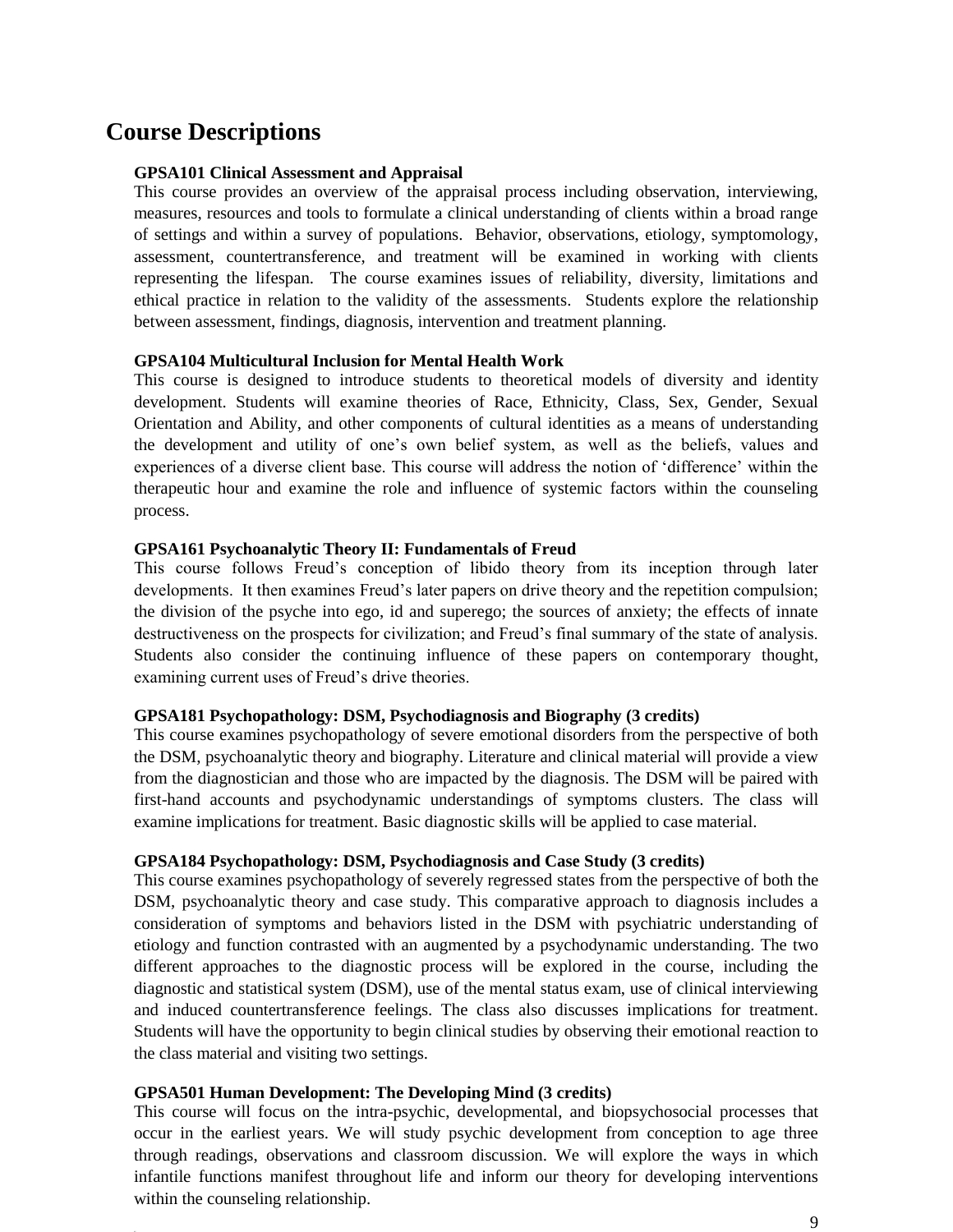# <span id="page-8-0"></span>**Course Descriptions**

#### **GPSA101 Clinical Assessment and Appraisal**

This course provides an overview of the appraisal process including observation, interviewing, measures, resources and tools to formulate a clinical understanding of clients within a broad range of settings and within a survey of populations. Behavior, observations, etiology, symptomology, assessment, countertransference, and treatment will be examined in working with clients representing the lifespan. The course examines issues of reliability, diversity, limitations and ethical practice in relation to the validity of the assessments. Students explore the relationship between assessment, findings, diagnosis, intervention and treatment planning.

#### **GPSA104 Multicultural Inclusion for Mental Health Work**

This course is designed to introduce students to theoretical models of diversity and identity development. Students will examine theories of Race, Ethnicity, Class, Sex, Gender, Sexual Orientation and Ability, and other components of cultural identities as a means of understanding the development and utility of one's own belief system, as well as the beliefs, values and experiences of a diverse client base. This course will address the notion of 'difference' within the therapeutic hour and examine the role and influence of systemic factors within the counseling process.

#### **GPSA161 Psychoanalytic Theory II: Fundamentals of Freud**

This course follows Freud's conception of libido theory from its inception through later developments. It then examines Freud's later papers on drive theory and the repetition compulsion; the division of the psyche into ego, id and superego; the sources of anxiety; the effects of innate destructiveness on the prospects for civilization; and Freud's final summary of the state of analysis. Students also consider the continuing influence of these papers on contemporary thought, examining current uses of Freud's drive theories.

#### **GPSA181 Psychopathology: DSM, Psychodiagnosis and Biography (3 credits)**

This course examines psychopathology of severe emotional disorders from the perspective of both the DSM, psychoanalytic theory and biography. Literature and clinical material will provide a view from the diagnostician and those who are impacted by the diagnosis. The DSM will be paired with first-hand accounts and psychodynamic understandings of symptoms clusters. The class will examine implications for treatment. Basic diagnostic skills will be applied to case material.

#### **GPSA184 Psychopathology: DSM, Psychodiagnosis and Case Study (3 credits)**

This course examines psychopathology of severely regressed states from the perspective of both the DSM, psychoanalytic theory and case study. This comparative approach to diagnosis includes a consideration of symptoms and behaviors listed in the DSM with psychiatric understanding of etiology and function contrasted with an augmented by a psychodynamic understanding. The two different approaches to the diagnostic process will be explored in the course, including the diagnostic and statistical system (DSM), use of the mental status exam, use of clinical interviewing and induced countertransference feelings. The class also discusses implications for treatment. Students will have the opportunity to begin clinical studies by observing their emotional reaction to the class material and visiting two settings.

#### **GPSA501 Human Development: The Developing Mind (3 credits)**

This course will focus on the intra-psychic, developmental, and biopsychosocial processes that occur in the earliest years. We will study psychic development from conception to age three through readings, observations and classroom discussion. We will explore the ways in which infantile functions manifest throughout life and inform our theory for developing interventions within the counseling relationship.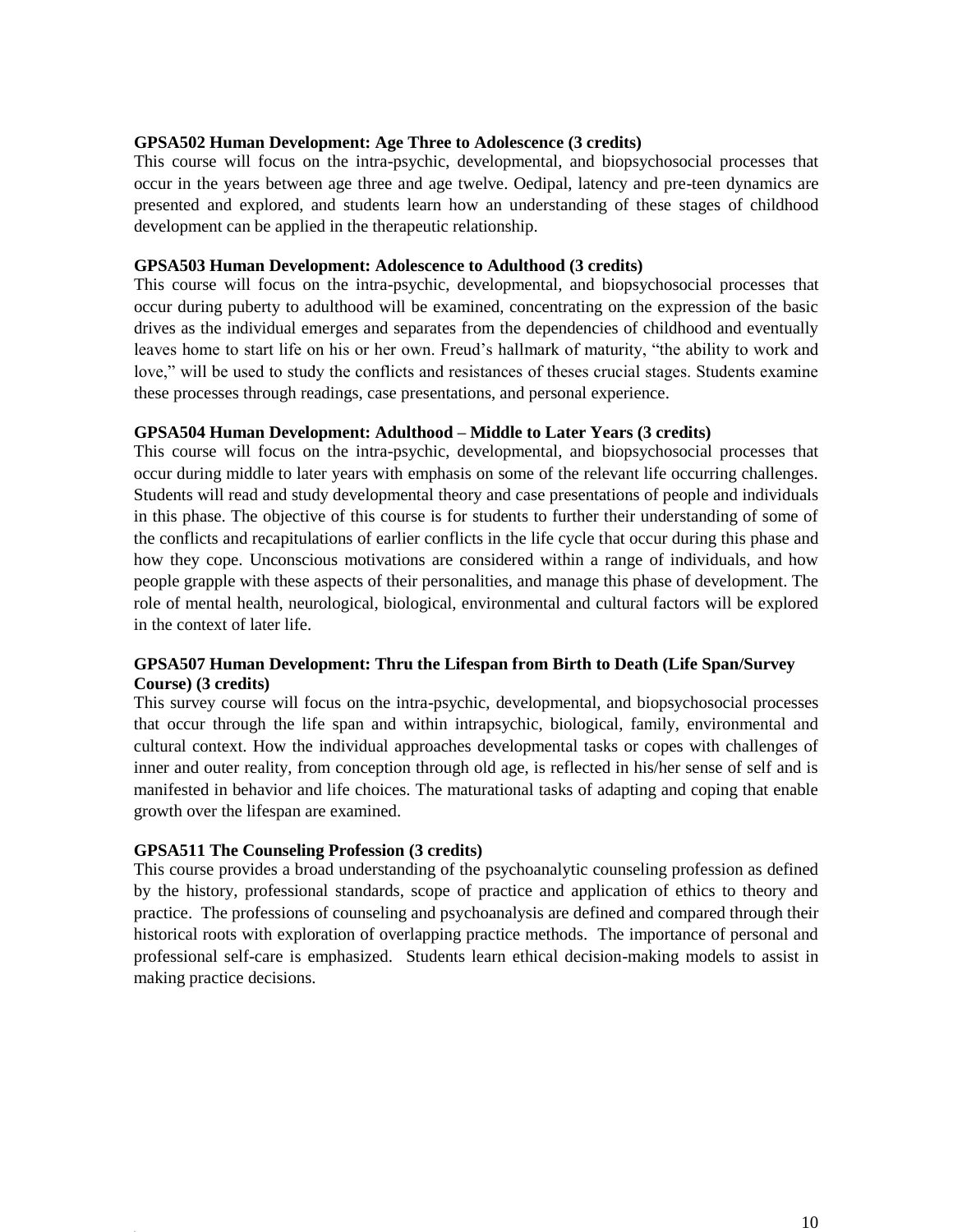#### **GPSA502 Human Development: Age Three to Adolescence (3 credits)**

This course will focus on the intra-psychic, developmental, and biopsychosocial processes that occur in the years between age three and age twelve. Oedipal, latency and pre-teen dynamics are presented and explored, and students learn how an understanding of these stages of childhood development can be applied in the therapeutic relationship.

#### **GPSA503 Human Development: Adolescence to Adulthood (3 credits)**

This course will focus on the intra-psychic, developmental, and biopsychosocial processes that occur during puberty to adulthood will be examined, concentrating on the expression of the basic drives as the individual emerges and separates from the dependencies of childhood and eventually leaves home to start life on his or her own. Freud's hallmark of maturity, "the ability to work and love," will be used to study the conflicts and resistances of theses crucial stages. Students examine these processes through readings, case presentations, and personal experience.

#### **GPSA504 Human Development: Adulthood – Middle to Later Years (3 credits)**

This course will focus on the intra-psychic, developmental, and biopsychosocial processes that occur during middle to later years with emphasis on some of the relevant life occurring challenges. Students will read and study developmental theory and case presentations of people and individuals in this phase. The objective of this course is for students to further their understanding of some of the conflicts and recapitulations of earlier conflicts in the life cycle that occur during this phase and how they cope. Unconscious motivations are considered within a range of individuals, and how people grapple with these aspects of their personalities, and manage this phase of development. The role of mental health, neurological, biological, environmental and cultural factors will be explored in the context of later life.

#### **GPSA507 Human Development: Thru the Lifespan from Birth to Death (Life Span/Survey Course) (3 credits)**

This survey course will focus on the intra-psychic, developmental, and biopsychosocial processes that occur through the life span and within intrapsychic, biological, family, environmental and cultural context. How the individual approaches developmental tasks or copes with challenges of inner and outer reality, from conception through old age, is reflected in his/her sense of self and is manifested in behavior and life choices. The maturational tasks of adapting and coping that enable growth over the lifespan are examined.

#### **GPSA511 The Counseling Profession (3 credits)**

This course provides a broad understanding of the psychoanalytic counseling profession as defined by the history, professional standards, scope of practice and application of ethics to theory and practice. The professions of counseling and psychoanalysis are defined and compared through their historical roots with exploration of overlapping practice methods. The importance of personal and professional self-care is emphasized. Students learn ethical decision-making models to assist in making practice decisions.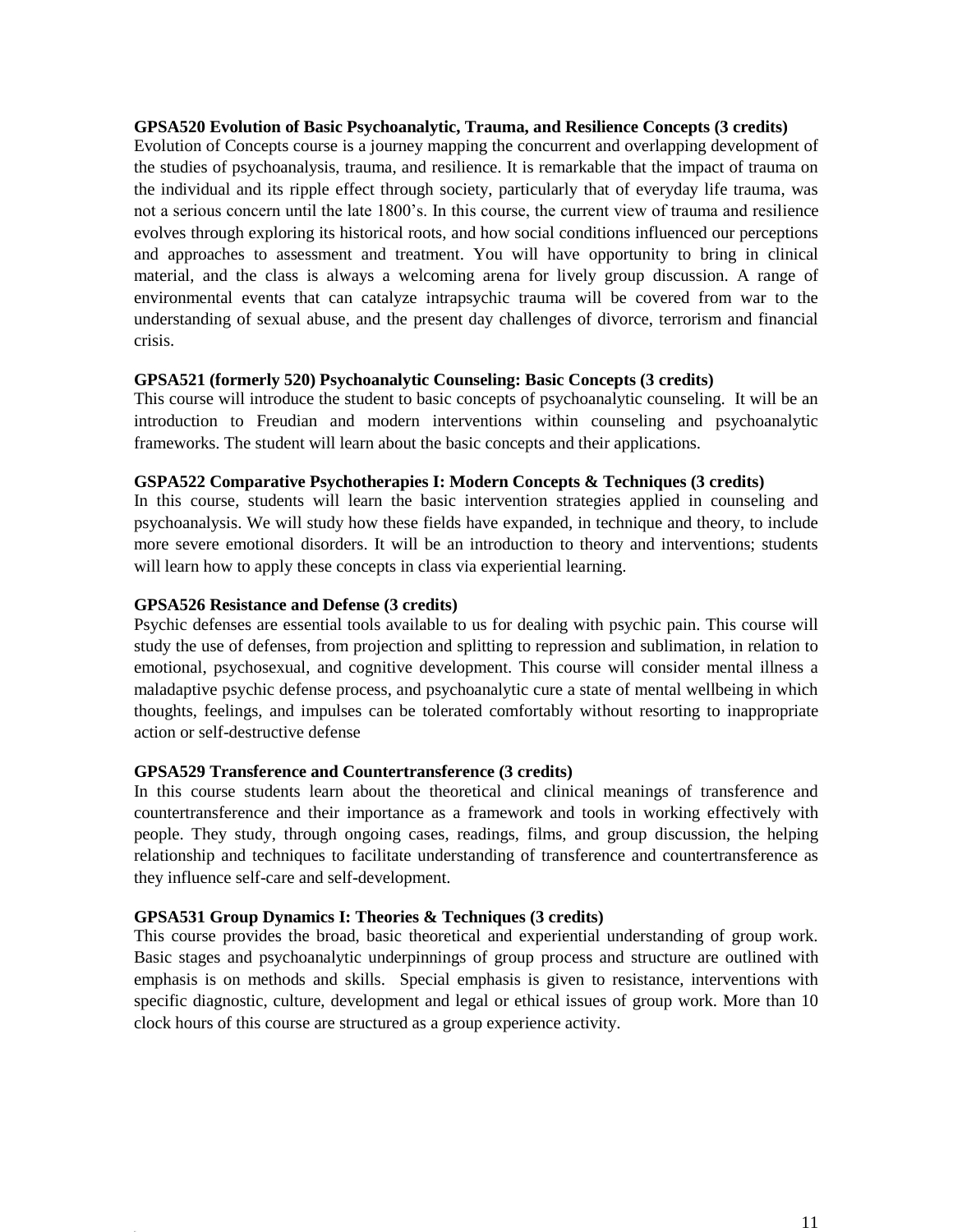#### **GPSA520 Evolution of Basic Psychoanalytic, Trauma, and Resilience Concepts (3 credits)**

Evolution of Concepts course is a journey mapping the concurrent and overlapping development of the studies of psychoanalysis, trauma, and resilience. It is remarkable that the impact of trauma on the individual and its ripple effect through society, particularly that of everyday life trauma, was not a serious concern until the late 1800's. In this course, the current view of trauma and resilience evolves through exploring its historical roots, and how social conditions influenced our perceptions and approaches to assessment and treatment. You will have opportunity to bring in clinical material, and the class is always a welcoming arena for lively group discussion. A range of environmental events that can catalyze intrapsychic trauma will be covered from war to the understanding of sexual abuse, and the present day challenges of divorce, terrorism and financial crisis.

#### **GPSA521 (formerly 520) Psychoanalytic Counseling: Basic Concepts (3 credits)**

This course will introduce the student to basic concepts of psychoanalytic counseling. It will be an introduction to Freudian and modern interventions within counseling and psychoanalytic frameworks. The student will learn about the basic concepts and their applications.

#### **GSPA522 Comparative Psychotherapies I: Modern Concepts & Techniques (3 credits)**

In this course, students will learn the basic intervention strategies applied in counseling and psychoanalysis. We will study how these fields have expanded, in technique and theory, to include more severe emotional disorders. It will be an introduction to theory and interventions; students will learn how to apply these concepts in class via experiential learning.

#### **GPSA526 Resistance and Defense (3 credits)**

Psychic defenses are essential tools available to us for dealing with psychic pain. This course will study the use of defenses, from projection and splitting to repression and sublimation, in relation to emotional, psychosexual, and cognitive development. This course will consider mental illness a maladaptive psychic defense process, and psychoanalytic cure a state of mental wellbeing in which thoughts, feelings, and impulses can be tolerated comfortably without resorting to inappropriate action or self-destructive defense

#### **GPSA529 Transference and Countertransference (3 credits)**

In this course students learn about the theoretical and clinical meanings of transference and countertransference and their importance as a framework and tools in working effectively with people. They study, through ongoing cases, readings, films, and group discussion, the helping relationship and techniques to facilitate understanding of transference and countertransference as they influence self-care and self-development.

#### **GPSA531 Group Dynamics I: Theories & Techniques (3 credits)**

This course provides the broad, basic theoretical and experiential understanding of group work. Basic stages and psychoanalytic underpinnings of group process and structure are outlined with emphasis is on methods and skills. Special emphasis is given to resistance, interventions with specific diagnostic, culture, development and legal or ethical issues of group work. More than 10 clock hours of this course are structured as a group experience activity.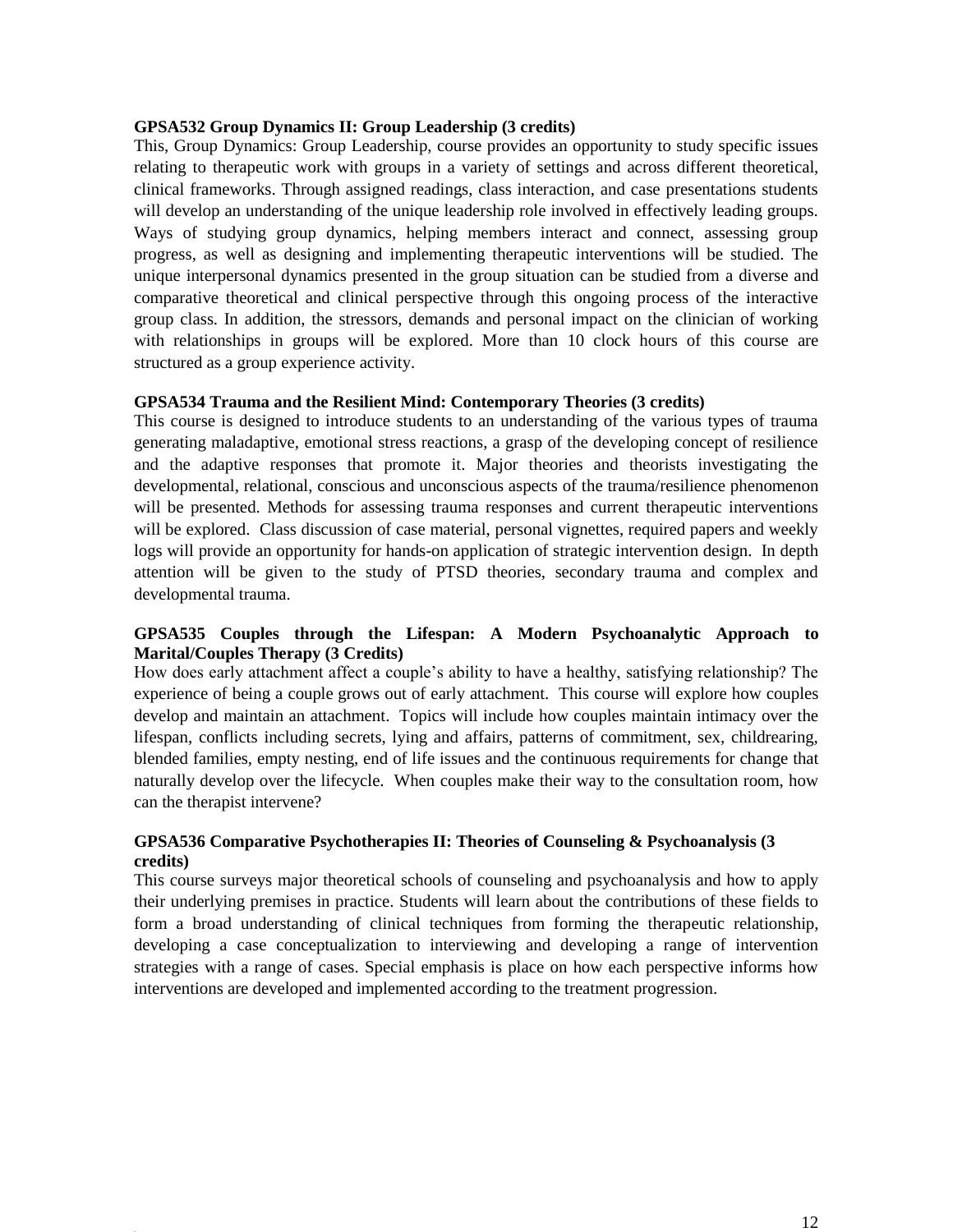#### **GPSA532 Group Dynamics II: Group Leadership (3 credits)**

This, Group Dynamics: Group Leadership, course provides an opportunity to study specific issues relating to therapeutic work with groups in a variety of settings and across different theoretical, clinical frameworks. Through assigned readings, class interaction, and case presentations students will develop an understanding of the unique leadership role involved in effectively leading groups. Ways of studying group dynamics, helping members interact and connect, assessing group progress, as well as designing and implementing therapeutic interventions will be studied. The unique interpersonal dynamics presented in the group situation can be studied from a diverse and comparative theoretical and clinical perspective through this ongoing process of the interactive group class. In addition, the stressors, demands and personal impact on the clinician of working with relationships in groups will be explored. More than 10 clock hours of this course are structured as a group experience activity.

#### **GPSA534 Trauma and the Resilient Mind: Contemporary Theories (3 credits)**

This course is designed to introduce students to an understanding of the various types of trauma generating maladaptive, emotional stress reactions, a grasp of the developing concept of resilience and the adaptive responses that promote it. Major theories and theorists investigating the developmental, relational, conscious and unconscious aspects of the trauma/resilience phenomenon will be presented. Methods for assessing trauma responses and current therapeutic interventions will be explored. Class discussion of case material, personal vignettes, required papers and weekly logs will provide an opportunity for hands-on application of strategic intervention design. In depth attention will be given to the study of PTSD theories, secondary trauma and complex and developmental trauma.

#### **GPSA535 Couples through the Lifespan: A Modern Psychoanalytic Approach to Marital/Couples Therapy (3 Credits)**

How does early attachment affect a couple's ability to have a healthy, satisfying relationship? The experience of being a couple grows out of early attachment. This course will explore how couples develop and maintain an attachment. Topics will include how couples maintain intimacy over the lifespan, conflicts including secrets, lying and affairs, patterns of commitment, sex, childrearing, blended families, empty nesting, end of life issues and the continuous requirements for change that naturally develop over the lifecycle. When couples make their way to the consultation room, how can the therapist intervene?

#### **GPSA536 Comparative Psychotherapies II: Theories of Counseling & Psychoanalysis (3 credits)**

This course surveys major theoretical schools of counseling and psychoanalysis and how to apply their underlying premises in practice. Students will learn about the contributions of these fields to form a broad understanding of clinical techniques from forming the therapeutic relationship, developing a case conceptualization to interviewing and developing a range of intervention strategies with a range of cases. Special emphasis is place on how each perspective informs how interventions are developed and implemented according to the treatment progression.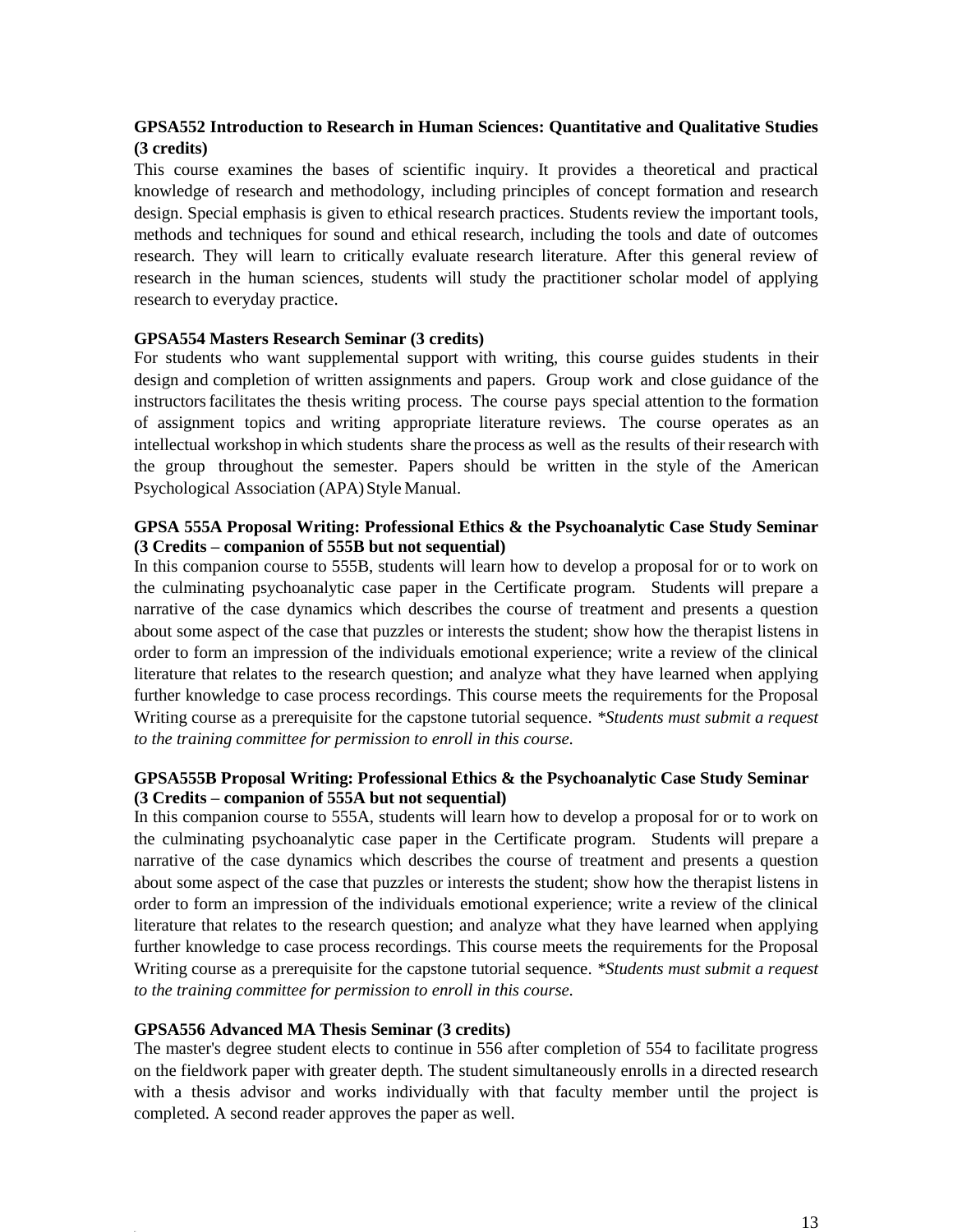#### **GPSA552 Introduction to Research in Human Sciences: Quantitative and Qualitative Studies (3 credits)**

This course examines the bases of scientific inquiry. It provides a theoretical and practical knowledge of research and methodology, including principles of concept formation and research design. Special emphasis is given to ethical research practices. Students review the important tools, methods and techniques for sound and ethical research, including the tools and date of outcomes research. They will learn to critically evaluate research literature. After this general review of research in the human sciences, students will study the practitioner scholar model of applying research to everyday practice.

#### **GPSA554 Masters Research Seminar (3 credits)**

For students who want supplemental support with writing, this course guides students in their design and completion of written assignments and papers. Group work and close guidance of the instructorsfacilitates the thesis writing process. The course pays special attention to the formation of assignment topics and writing appropriate literature reviews. The course operates as an intellectual workshop in which students share the process as well as the results of their research with the group throughout the semester. Papers should be written in the style of the American Psychological Association (APA)Style Manual.

#### **GPSA 555A Proposal Writing: Professional Ethics & the Psychoanalytic Case Study Seminar (3 Credits – companion of 555B but not sequential)**

In this companion course to 555B, students will learn how to develop a proposal for or to work on the culminating psychoanalytic case paper in the Certificate program. Students will prepare a narrative of the case dynamics which describes the course of treatment and presents a question about some aspect of the case that puzzles or interests the student; show how the therapist listens in order to form an impression of the individuals emotional experience; write a review of the clinical literature that relates to the research question; and analyze what they have learned when applying further knowledge to case process recordings. This course meets the requirements for the Proposal Writing course as a prerequisite for the capstone tutorial sequence. *\*Students must submit a request to the training committee for permission to enroll in this course.* 

#### **GPSA555B Proposal Writing: Professional Ethics & the Psychoanalytic Case Study Seminar (3 Credits – companion of 555A but not sequential)**

In this companion course to 555A, students will learn how to develop a proposal for or to work on the culminating psychoanalytic case paper in the Certificate program. Students will prepare a narrative of the case dynamics which describes the course of treatment and presents a question about some aspect of the case that puzzles or interests the student; show how the therapist listens in order to form an impression of the individuals emotional experience; write a review of the clinical literature that relates to the research question; and analyze what they have learned when applying further knowledge to case process recordings. This course meets the requirements for the Proposal Writing course as a prerequisite for the capstone tutorial sequence. *\*Students must submit a request to the training committee for permission to enroll in this course.* 

#### **GPSA556 Advanced MA Thesis Seminar (3 credits)**

The master's degree student elects to continue in 556 after completion of 554 to facilitate progress on the fieldwork paper with greater depth. The student simultaneously enrolls in a directed research with a thesis advisor and works individually with that faculty member until the project is completed. A second reader approves the paper as well.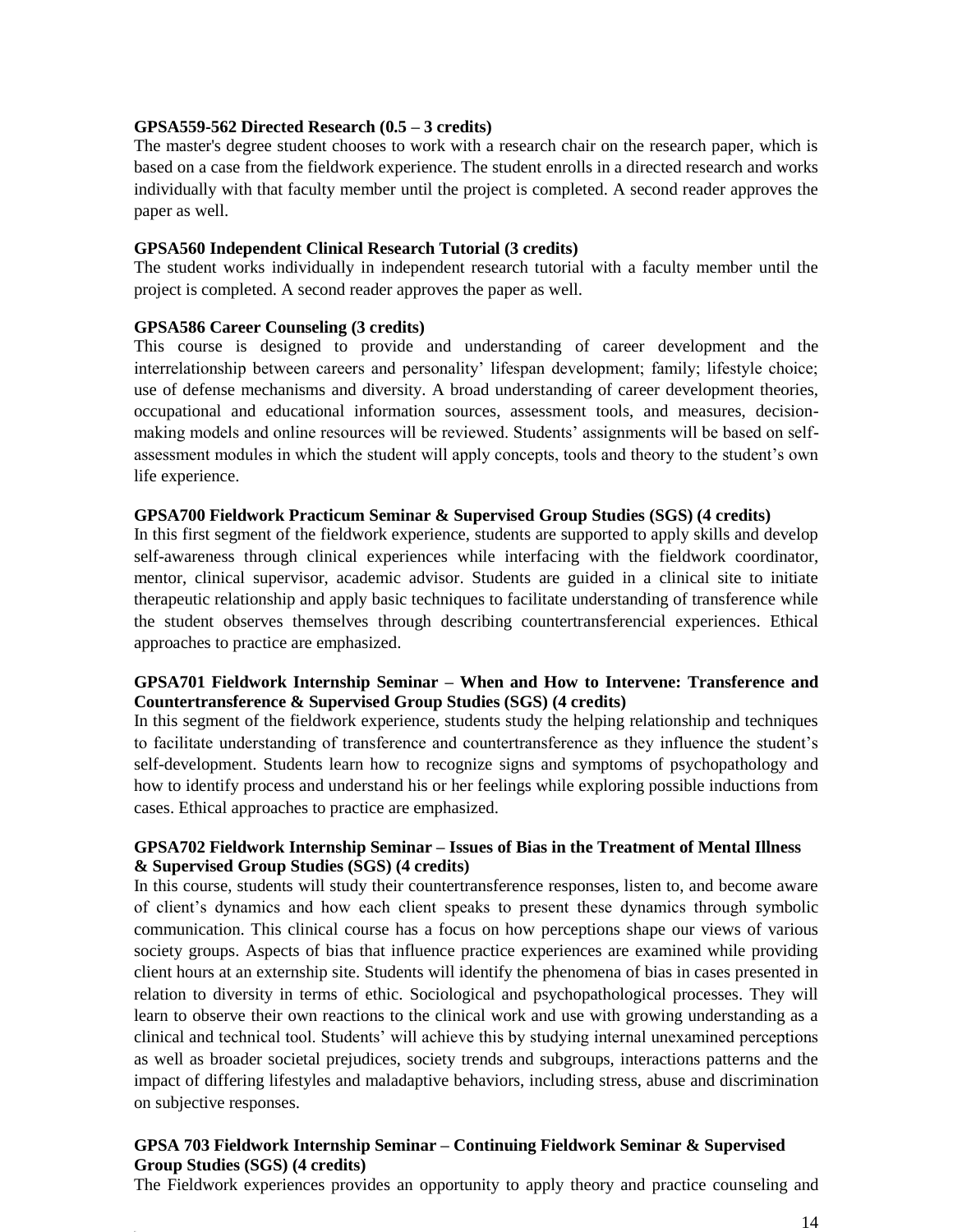#### **GPSA559-562 Directed Research (0.5 – 3 credits)**

The master's degree student chooses to work with a research chair on the research paper, which is based on a case from the fieldwork experience. The student enrolls in a directed research and works individually with that faculty member until the project is completed. A second reader approves the paper as well.

#### **GPSA560 Independent Clinical Research Tutorial (3 credits)**

The student works individually in independent research tutorial with a faculty member until the project is completed. A second reader approves the paper as well.

#### **GPSA586 Career Counseling (3 credits)**

This course is designed to provide and understanding of career development and the interrelationship between careers and personality' lifespan development; family; lifestyle choice; use of defense mechanisms and diversity. A broad understanding of career development theories, occupational and educational information sources, assessment tools, and measures, decisionmaking models and online resources will be reviewed. Students' assignments will be based on selfassessment modules in which the student will apply concepts, tools and theory to the student's own life experience.

#### **GPSA700 Fieldwork Practicum Seminar & Supervised Group Studies (SGS) (4 credits)**

In this first segment of the fieldwork experience, students are supported to apply skills and develop self-awareness through clinical experiences while interfacing with the fieldwork coordinator, mentor, clinical supervisor, academic advisor. Students are guided in a clinical site to initiate therapeutic relationship and apply basic techniques to facilitate understanding of transference while the student observes themselves through describing countertransferencial experiences. Ethical approaches to practice are emphasized.

#### **GPSA701 Fieldwork Internship Seminar – When and How to Intervene: Transference and Countertransference & Supervised Group Studies (SGS) (4 credits)**

In this segment of the fieldwork experience, students study the helping relationship and techniques to facilitate understanding of transference and countertransference as they influence the student's self-development. Students learn how to recognize signs and symptoms of psychopathology and how to identify process and understand his or her feelings while exploring possible inductions from cases. Ethical approaches to practice are emphasized.

#### **GPSA702 Fieldwork Internship Seminar – Issues of Bias in the Treatment of Mental Illness & Supervised Group Studies (SGS) (4 credits)**

In this course, students will study their countertransference responses, listen to, and become aware of client's dynamics and how each client speaks to present these dynamics through symbolic communication. This clinical course has a focus on how perceptions shape our views of various society groups. Aspects of bias that influence practice experiences are examined while providing client hours at an externship site. Students will identify the phenomena of bias in cases presented in relation to diversity in terms of ethic. Sociological and psychopathological processes. They will learn to observe their own reactions to the clinical work and use with growing understanding as a clinical and technical tool. Students' will achieve this by studying internal unexamined perceptions as well as broader societal prejudices, society trends and subgroups, interactions patterns and the impact of differing lifestyles and maladaptive behaviors, including stress, abuse and discrimination on subjective responses.

#### **GPSA 703 Fieldwork Internship Seminar – Continuing Fieldwork Seminar & Supervised Group Studies (SGS) (4 credits)**

The Fieldwork experiences provides an opportunity to apply theory and practice counseling and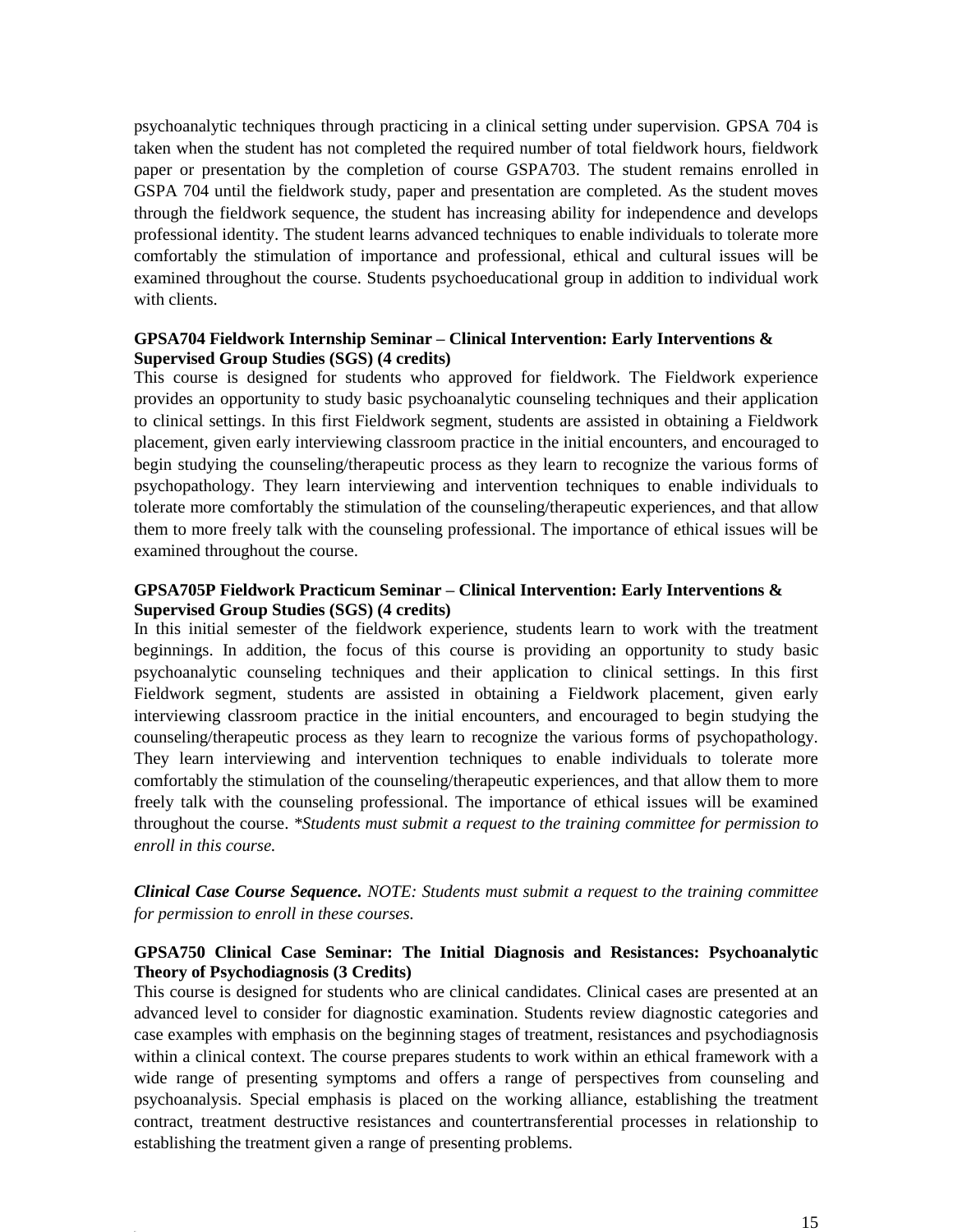psychoanalytic techniques through practicing in a clinical setting under supervision. GPSA 704 is taken when the student has not completed the required number of total fieldwork hours, fieldwork paper or presentation by the completion of course GSPA703. The student remains enrolled in GSPA 704 until the fieldwork study, paper and presentation are completed. As the student moves through the fieldwork sequence, the student has increasing ability for independence and develops professional identity. The student learns advanced techniques to enable individuals to tolerate more comfortably the stimulation of importance and professional, ethical and cultural issues will be examined throughout the course. Students psychoeducational group in addition to individual work with clients.

#### **GPSA704 Fieldwork Internship Seminar – Clinical Intervention: Early Interventions & Supervised Group Studies (SGS) (4 credits)**

This course is designed for students who approved for fieldwork. The Fieldwork experience provides an opportunity to study basic psychoanalytic counseling techniques and their application to clinical settings. In this first Fieldwork segment, students are assisted in obtaining a Fieldwork placement, given early interviewing classroom practice in the initial encounters, and encouraged to begin studying the counseling/therapeutic process as they learn to recognize the various forms of psychopathology. They learn interviewing and intervention techniques to enable individuals to tolerate more comfortably the stimulation of the counseling/therapeutic experiences, and that allow them to more freely talk with the counseling professional. The importance of ethical issues will be examined throughout the course.

#### **GPSA705P Fieldwork Practicum Seminar – Clinical Intervention: Early Interventions & Supervised Group Studies (SGS) (4 credits)**

In this initial semester of the fieldwork experience, students learn to work with the treatment beginnings. In addition, the focus of this course is providing an opportunity to study basic psychoanalytic counseling techniques and their application to clinical settings. In this first Fieldwork segment, students are assisted in obtaining a Fieldwork placement, given early interviewing classroom practice in the initial encounters, and encouraged to begin studying the counseling/therapeutic process as they learn to recognize the various forms of psychopathology. They learn interviewing and intervention techniques to enable individuals to tolerate more comfortably the stimulation of the counseling/therapeutic experiences, and that allow them to more freely talk with the counseling professional. The importance of ethical issues will be examined throughout the course. *\*Students must submit a request to the training committee for permission to enroll in this course.* 

#### *Clinical Case Course Sequence. NOTE: Students must submit a request to the training committee for permission to enroll in these courses.*

#### **GPSA750 Clinical Case Seminar: The Initial Diagnosis and Resistances: Psychoanalytic Theory of Psychodiagnosis (3 Credits)**

This course is designed for students who are clinical candidates. Clinical cases are presented at an advanced level to consider for diagnostic examination. Students review diagnostic categories and case examples with emphasis on the beginning stages of treatment, resistances and psychodiagnosis within a clinical context. The course prepares students to work within an ethical framework with a wide range of presenting symptoms and offers a range of perspectives from counseling and psychoanalysis. Special emphasis is placed on the working alliance, establishing the treatment contract, treatment destructive resistances and countertransferential processes in relationship to establishing the treatment given a range of presenting problems.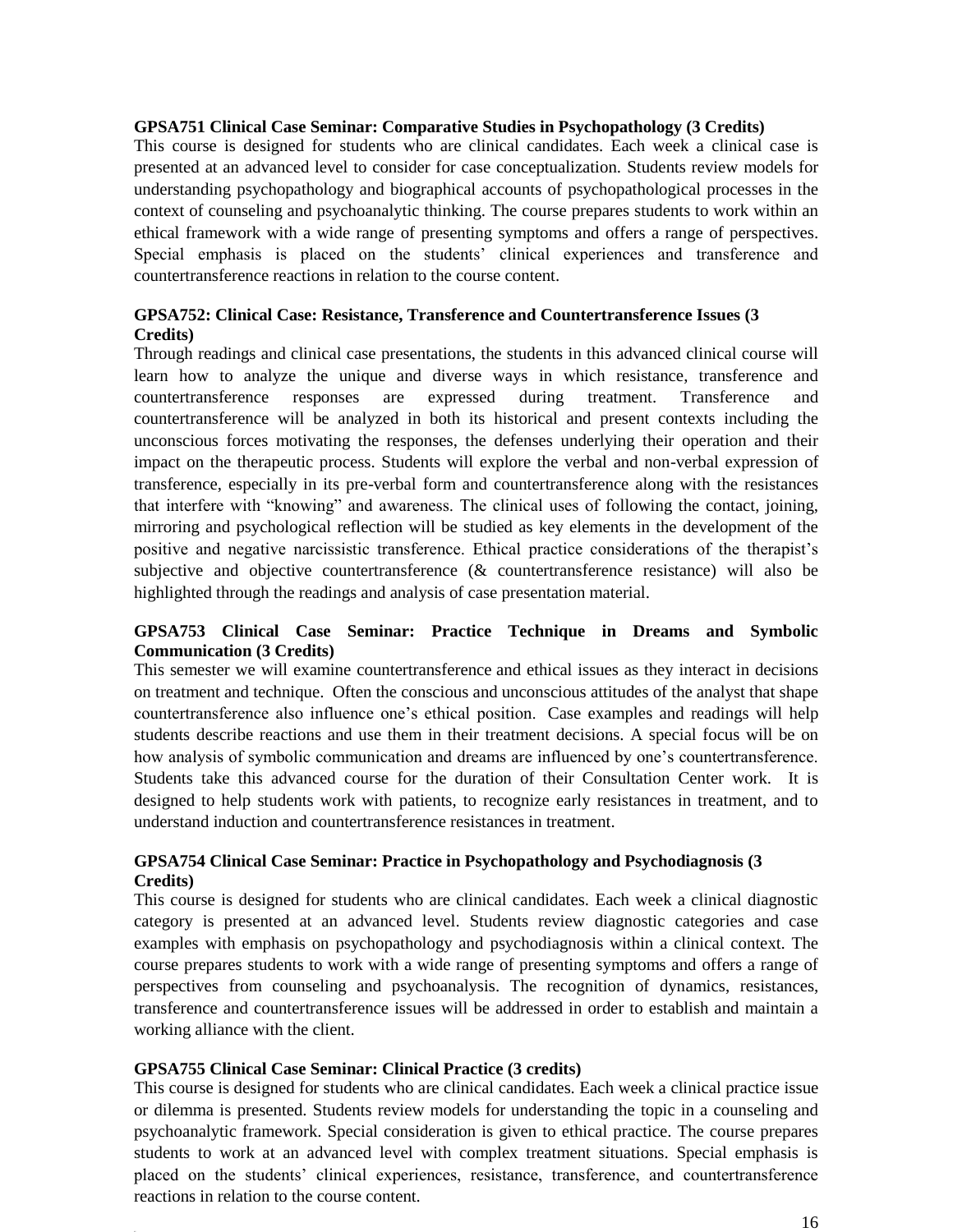#### **GPSA751 Clinical Case Seminar: Comparative Studies in Psychopathology (3 Credits)**

This course is designed for students who are clinical candidates. Each week a clinical case is presented at an advanced level to consider for case conceptualization. Students review models for understanding psychopathology and biographical accounts of psychopathological processes in the context of counseling and psychoanalytic thinking. The course prepares students to work within an ethical framework with a wide range of presenting symptoms and offers a range of perspectives. Special emphasis is placed on the students' clinical experiences and transference and countertransference reactions in relation to the course content.

#### **GPSA752: Clinical Case: Resistance, Transference and Countertransference Issues (3 Credits)**

Through readings and clinical case presentations, the students in this advanced clinical course will learn how to analyze the unique and diverse ways in which resistance, transference and countertransference responses are expressed during treatment. Transference and countertransference will be analyzed in both its historical and present contexts including the unconscious forces motivating the responses, the defenses underlying their operation and their impact on the therapeutic process. Students will explore the verbal and non-verbal expression of transference, especially in its pre-verbal form and countertransference along with the resistances that interfere with "knowing" and awareness. The clinical uses of following the contact, joining, mirroring and psychological reflection will be studied as key elements in the development of the positive and negative narcissistic transference. Ethical practice considerations of the therapist's subjective and objective countertransference (& countertransference resistance) will also be highlighted through the readings and analysis of case presentation material.

#### **GPSA753 Clinical Case Seminar: Practice Technique in Dreams and Symbolic Communication (3 Credits)**

This semester we will examine countertransference and ethical issues as they interact in decisions on treatment and technique. Often the conscious and unconscious attitudes of the analyst that shape countertransference also influence one's ethical position. Case examples and readings will help students describe reactions and use them in their treatment decisions. A special focus will be on how analysis of symbolic communication and dreams are influenced by one's countertransference. Students take this advanced course for the duration of their Consultation Center work. It is designed to help students work with patients, to recognize early resistances in treatment, and to understand induction and countertransference resistances in treatment.

#### **GPSA754 Clinical Case Seminar: Practice in Psychopathology and Psychodiagnosis (3 Credits)**

This course is designed for students who are clinical candidates. Each week a clinical diagnostic category is presented at an advanced level. Students review diagnostic categories and case examples with emphasis on psychopathology and psychodiagnosis within a clinical context. The course prepares students to work with a wide range of presenting symptoms and offers a range of perspectives from counseling and psychoanalysis. The recognition of dynamics, resistances, transference and countertransference issues will be addressed in order to establish and maintain a working alliance with the client.

#### **GPSA755 Clinical Case Seminar: Clinical Practice (3 credits)**

This course is designed for students who are clinical candidates. Each week a clinical practice issue or dilemma is presented. Students review models for understanding the topic in a counseling and psychoanalytic framework. Special consideration is given to ethical practice. The course prepares students to work at an advanced level with complex treatment situations. Special emphasis is placed on the students' clinical experiences, resistance, transference, and countertransference reactions in relation to the course content.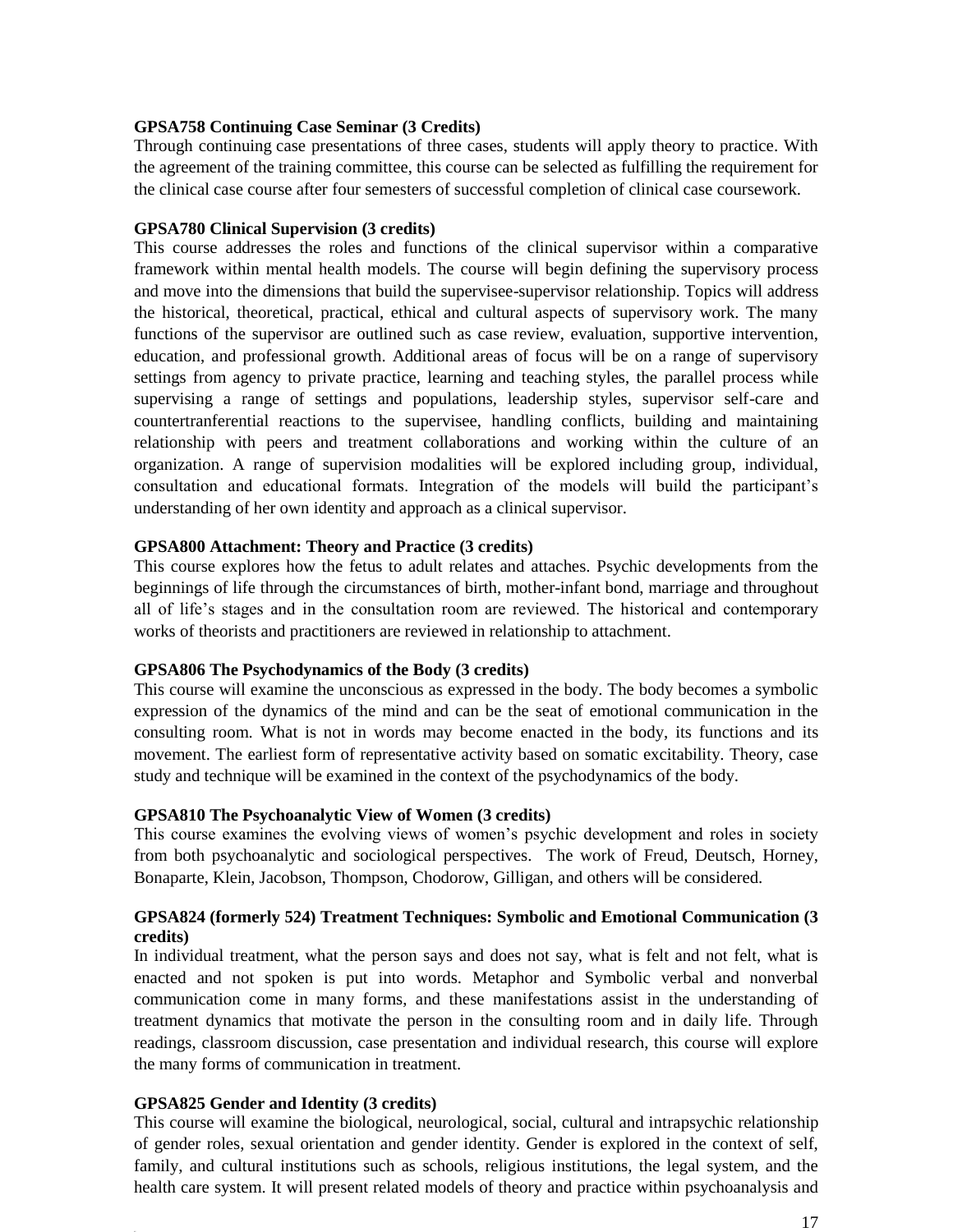#### **GPSA758 Continuing Case Seminar (3 Credits)**

Through continuing case presentations of three cases, students will apply theory to practice. With the agreement of the training committee, this course can be selected as fulfilling the requirement for the clinical case course after four semesters of successful completion of clinical case coursework.

#### **GPSA780 Clinical Supervision (3 credits)**

This course addresses the roles and functions of the clinical supervisor within a comparative framework within mental health models. The course will begin defining the supervisory process and move into the dimensions that build the supervisee-supervisor relationship. Topics will address the historical, theoretical, practical, ethical and cultural aspects of supervisory work. The many functions of the supervisor are outlined such as case review, evaluation, supportive intervention, education, and professional growth. Additional areas of focus will be on a range of supervisory settings from agency to private practice, learning and teaching styles, the parallel process while supervising a range of settings and populations, leadership styles, supervisor self-care and countertranferential reactions to the supervisee, handling conflicts, building and maintaining relationship with peers and treatment collaborations and working within the culture of an organization. A range of supervision modalities will be explored including group, individual, consultation and educational formats. Integration of the models will build the participant's understanding of her own identity and approach as a clinical supervisor.

#### **GPSA800 Attachment: Theory and Practice (3 credits)**

This course explores how the fetus to adult relates and attaches. Psychic developments from the beginnings of life through the circumstances of birth, mother-infant bond, marriage and throughout all of life's stages and in the consultation room are reviewed. The historical and contemporary works of theorists and practitioners are reviewed in relationship to attachment.

#### **GPSA806 The Psychodynamics of the Body (3 credits)**

This course will examine the unconscious as expressed in the body. The body becomes a symbolic expression of the dynamics of the mind and can be the seat of emotional communication in the consulting room. What is not in words may become enacted in the body, its functions and its movement. The earliest form of representative activity based on somatic excitability. Theory, case study and technique will be examined in the context of the psychodynamics of the body.

#### **GPSA810 The Psychoanalytic View of Women (3 credits)**

This course examines the evolving views of women's psychic development and roles in society from both psychoanalytic and sociological perspectives. The work of Freud, Deutsch, Horney, Bonaparte, Klein, Jacobson, Thompson, Chodorow, Gilligan, and others will be considered.

#### **GPSA824 (formerly 524) Treatment Techniques: Symbolic and Emotional Communication (3 credits)**

In individual treatment, what the person says and does not say, what is felt and not felt, what is enacted and not spoken is put into words. Metaphor and Symbolic verbal and nonverbal communication come in many forms, and these manifestations assist in the understanding of treatment dynamics that motivate the person in the consulting room and in daily life. Through readings, classroom discussion, case presentation and individual research, this course will explore the many forms of communication in treatment.

#### **GPSA825 Gender and Identity (3 credits)**

This course will examine the biological, neurological, social, cultural and intrapsychic relationship of gender roles, sexual orientation and gender identity. Gender is explored in the context of self, family, and cultural institutions such as schools, religious institutions, the legal system, and the health care system. It will present related models of theory and practice within psychoanalysis and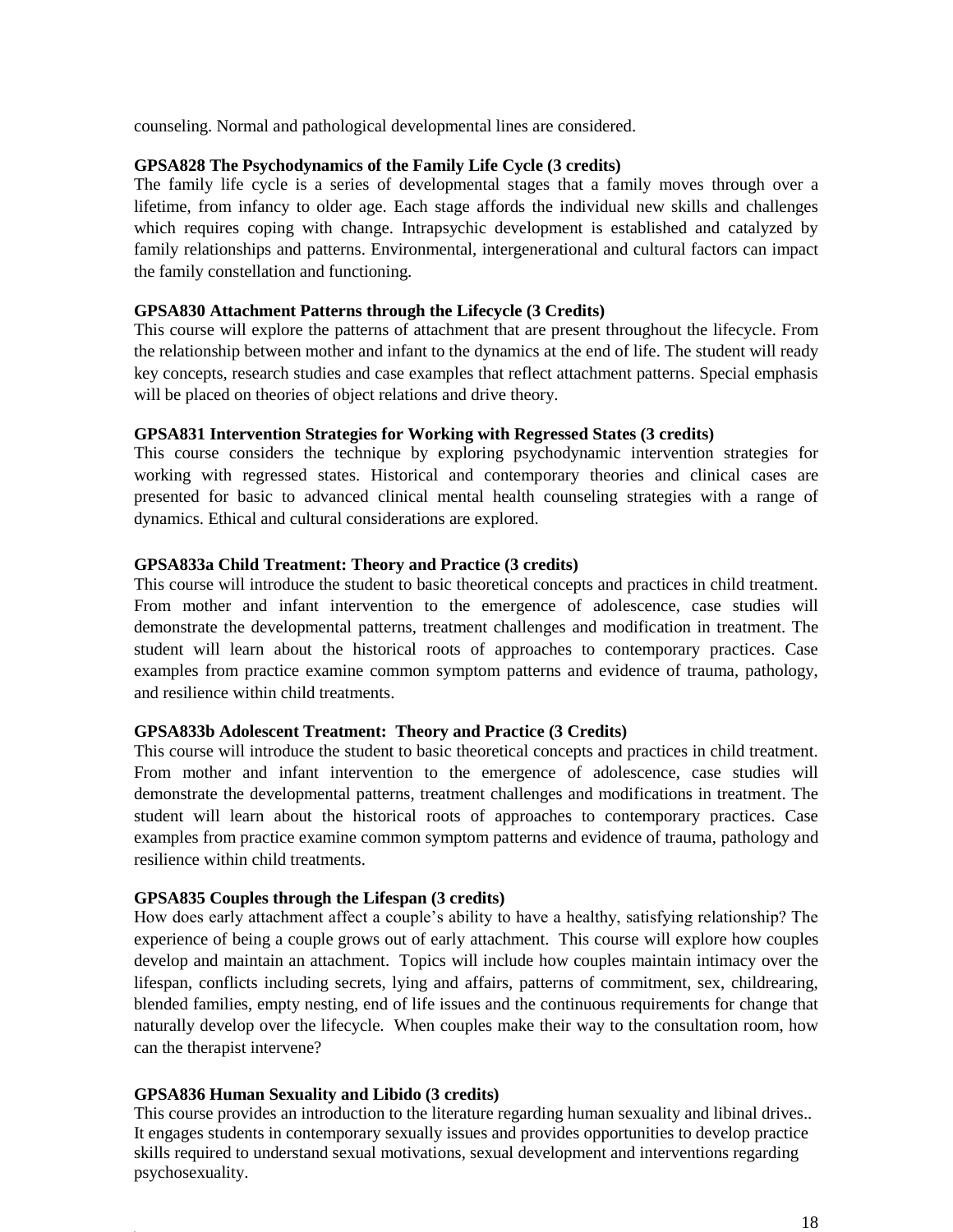counseling. Normal and pathological developmental lines are considered.

#### **GPSA828 The Psychodynamics of the Family Life Cycle (3 credits)**

The family life cycle is a series of developmental stages that a family moves through over a lifetime, from infancy to older age. Each stage affords the individual new skills and challenges which requires coping with change. Intrapsychic development is established and catalyzed by family relationships and patterns. Environmental, intergenerational and cultural factors can impact the family constellation and functioning.

#### **GPSA830 Attachment Patterns through the Lifecycle (3 Credits)**

This course will explore the patterns of attachment that are present throughout the lifecycle. From the relationship between mother and infant to the dynamics at the end of life. The student will ready key concepts, research studies and case examples that reflect attachment patterns. Special emphasis will be placed on theories of object relations and drive theory.

#### **GPSA831 Intervention Strategies for Working with Regressed States (3 credits)**

This course considers the technique by exploring psychodynamic intervention strategies for working with regressed states. Historical and contemporary theories and clinical cases are presented for basic to advanced clinical mental health counseling strategies with a range of dynamics. Ethical and cultural considerations are explored.

#### **GPSA833a Child Treatment: Theory and Practice (3 credits)**

This course will introduce the student to basic theoretical concepts and practices in child treatment. From mother and infant intervention to the emergence of adolescence, case studies will demonstrate the developmental patterns, treatment challenges and modification in treatment. The student will learn about the historical roots of approaches to contemporary practices. Case examples from practice examine common symptom patterns and evidence of trauma, pathology, and resilience within child treatments.

#### **GPSA833b Adolescent Treatment: Theory and Practice (3 Credits)**

This course will introduce the student to basic theoretical concepts and practices in child treatment. From mother and infant intervention to the emergence of adolescence, case studies will demonstrate the developmental patterns, treatment challenges and modifications in treatment. The student will learn about the historical roots of approaches to contemporary practices. Case examples from practice examine common symptom patterns and evidence of trauma, pathology and resilience within child treatments.

#### **GPSA835 Couples through the Lifespan (3 credits)**

How does early attachment affect a couple's ability to have a healthy, satisfying relationship? The experience of being a couple grows out of early attachment. This course will explore how couples develop and maintain an attachment. Topics will include how couples maintain intimacy over the lifespan, conflicts including secrets, lying and affairs, patterns of commitment, sex, childrearing, blended families, empty nesting, end of life issues and the continuous requirements for change that naturally develop over the lifecycle. When couples make their way to the consultation room, how can the therapist intervene?

#### **GPSA836 Human Sexuality and Libido (3 credits)**

This course provides an introduction to the literature regarding human sexuality and libinal drives.. It engages students in contemporary sexually issues and provides opportunities to develop practice skills required to understand sexual motivations, sexual development and interventions regarding psychosexuality.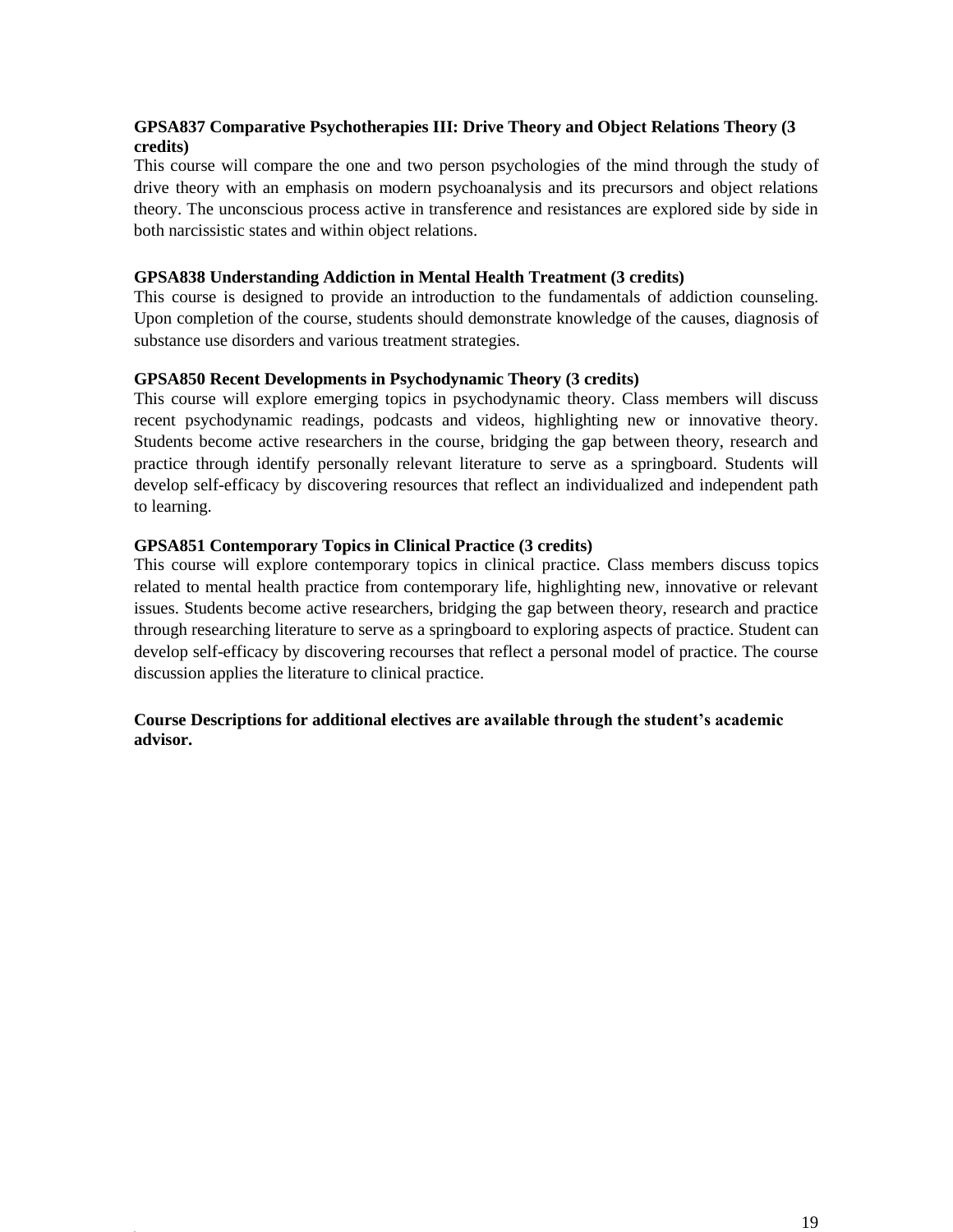#### **GPSA837 Comparative Psychotherapies III: Drive Theory and Object Relations Theory (3 credits)**

This course will compare the one and two person psychologies of the mind through the study of drive theory with an emphasis on modern psychoanalysis and its precursors and object relations theory. The unconscious process active in transference and resistances are explored side by side in both narcissistic states and within object relations.

#### **GPSA838 Understanding Addiction in Mental Health Treatment (3 credits)**

This course is designed to provide an introduction to the fundamentals of addiction counseling. Upon completion of the course, students should demonstrate knowledge of the causes, diagnosis of substance use disorders and various treatment strategies.

#### **GPSA850 Recent Developments in Psychodynamic Theory (3 credits)**

This course will explore emerging topics in psychodynamic theory. Class members will discuss recent psychodynamic readings, podcasts and videos, highlighting new or innovative theory. Students become active researchers in the course, bridging the gap between theory, research and practice through identify personally relevant literature to serve as a springboard. Students will develop self-efficacy by discovering resources that reflect an individualized and independent path to learning.

#### **GPSA851 Contemporary Topics in Clinical Practice (3 credits)**

This course will explore contemporary topics in clinical practice. Class members discuss topics related to mental health practice from contemporary life, highlighting new, innovative or relevant issues. Students become active researchers, bridging the gap between theory, research and practice through researching literature to serve as a springboard to exploring aspects of practice. Student can develop self-efficacy by discovering recourses that reflect a personal model of practice. The course discussion applies the literature to clinical practice.

#### **Course Descriptions for additional electives are available through the student's academic advisor.**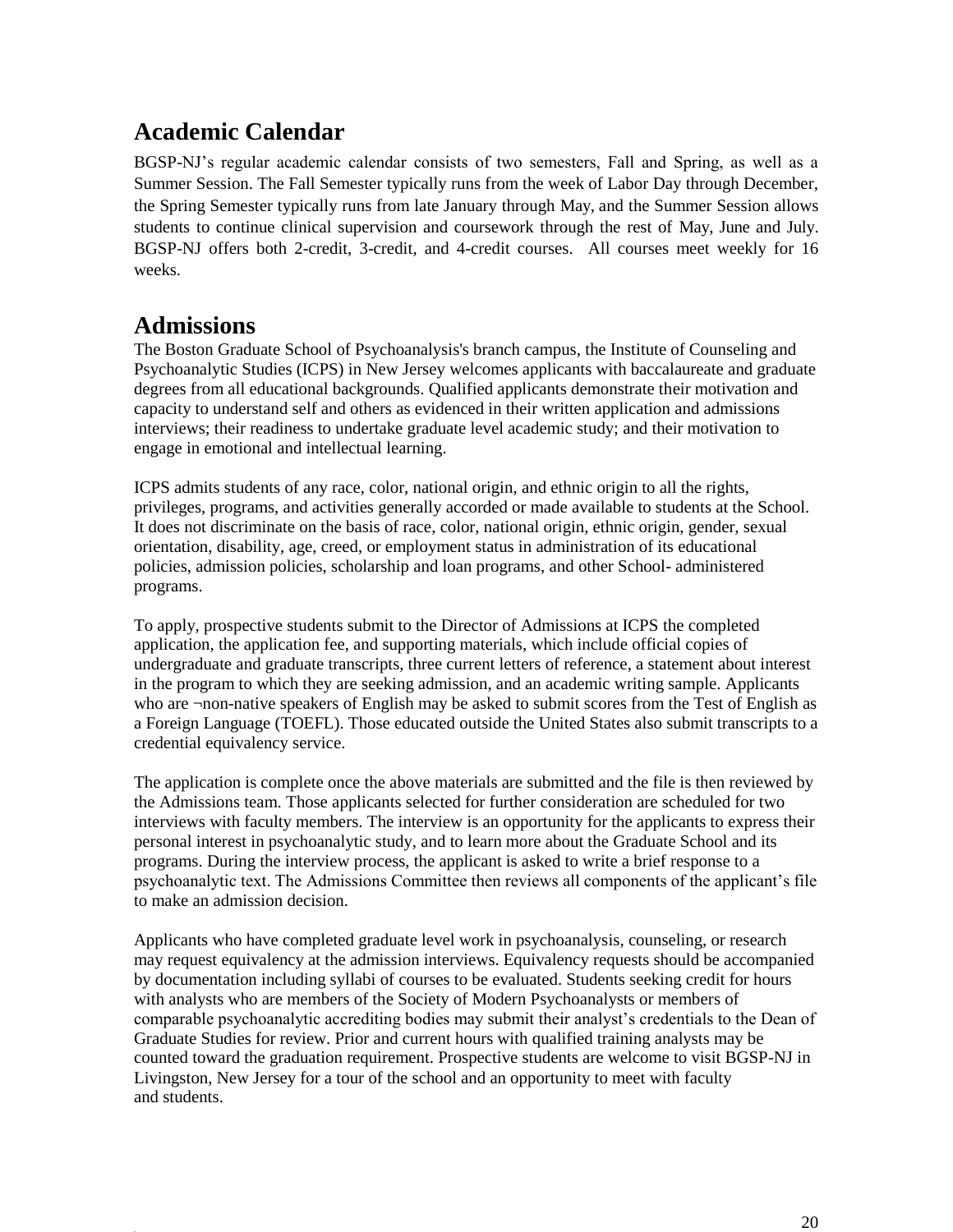# <span id="page-19-0"></span>**Academic Calendar**

BGSP-NJ's regular academic calendar consists of two semesters, Fall and Spring, as well as a Summer Session. The Fall Semester typically runs from the week of Labor Day through December, the Spring Semester typically runs from late January through May, and the Summer Session allows students to continue clinical supervision and coursework through the rest of May, June and July. BGSP-NJ offers both 2-credit, 3-credit, and 4-credit courses. All courses meet weekly for 16 weeks.

## <span id="page-19-1"></span>**Admissions**

The Boston Graduate School of Psychoanalysis's branch campus, the Institute of Counseling and Psychoanalytic Studies (ICPS) in New Jersey welcomes applicants with baccalaureate and graduate degrees from all educational backgrounds. Qualified applicants demonstrate their motivation and capacity to understand self and others as evidenced in their written application and admissions interviews; their readiness to undertake graduate level academic study; and their motivation to engage in emotional and intellectual learning.

ICPS admits students of any race, color, national origin, and ethnic origin to all the rights, privileges, programs, and activities generally accorded or made available to students at the School. It does not discriminate on the basis of race, color, national origin, ethnic origin, gender, sexual orientation, disability, age, creed, or employment status in administration of its educational policies, admission policies, scholarship and loan programs, and other School- administered programs.

To apply, prospective students submit to the Director of Admissions at ICPS the completed application, the application fee, and supporting materials, which include official copies of undergraduate and graduate transcripts, three current letters of reference, a statement about interest in the program to which they are seeking admission, and an academic writing sample. Applicants who are ¬non-native speakers of English may be asked to submit scores from the Test of English as a Foreign Language (TOEFL). Those educated outside the United States also submit transcripts to a credential equivalency service.

The application is complete once the above materials are submitted and the file is then reviewed by the Admissions team. Those applicants selected for further consideration are scheduled for two interviews with faculty members. The interview is an opportunity for the applicants to express their personal interest in psychoanalytic study, and to learn more about the Graduate School and its programs. During the interview process, the applicant is asked to write a brief response to a psychoanalytic text. The Admissions Committee then reviews all components of the applicant's file to make an admission decision.

Applicants who have completed graduate level work in psychoanalysis, counseling, or research may request equivalency at the admission interviews. Equivalency requests should be accompanied by documentation including syllabi of courses to be evaluated. Students seeking credit for hours with analysts who are members of the Society of Modern Psychoanalysts or members of comparable psychoanalytic accrediting bodies may submit their analyst's credentials to the Dean of Graduate Studies for review. Prior and current hours with qualified training analysts may be counted toward the graduation requirement. Prospective students are welcome to visit BGSP-NJ in Livingston, New Jersey for a tour of the school and an opportunity to meet with faculty and students.